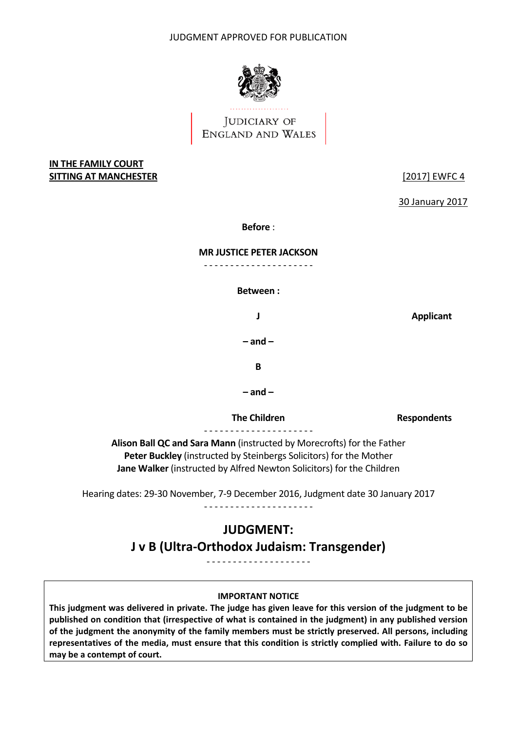

## JUDICIARY OF ENGLAND AND WALES

## **IN THE FAMILY COURT SITTING AT MANCHESTER** [2017] EWFC 4

30 January 2017

**Before** :

#### **MR JUSTICE PETER JACKSON**

‐ ‐ ‐ ‐ ‐ ‐ ‐ ‐ ‐ ‐ ‐ ‐ ‐ ‐ ‐ ‐ ‐ ‐ ‐ ‐ ‐

 **Between :**

**J Applicant**

 **– and –**

**B**

 **– and –**

 **The Children**

**Respondents**

 **Alison Ball QC and Sara Mann** (instructed by Morecrofts) for the Father **Peter Buckley** (instructed by Steinbergs Solicitors) for the Mother

**Jane Walker** (instructed by Alfred Newton Solicitors) for the Children

Hearing dates: 29‐30 November, 7‐9 December 2016, Judgment date 30 January 2017

<u>. . . . . . . . . . . .</u>

# **JUDGMENT:**

 **J v B (Ultra‐Orthodox Judaism: Transgender)**

<u>. . . . . . . . . . . . . . . . . . .</u>

#### **IMPORTANT NOTICE**

This judgment was delivered in private. The judge has given leave for this version of the judgment to be published on condition that (irrespective of what is contained in the judgment) in any published version of the judgment the anonymity of the family members must be strictly preserved. All persons, including representatives of the media, must ensure that this condition is strictly complied with. Failure to do so  **may be a contempt of court.**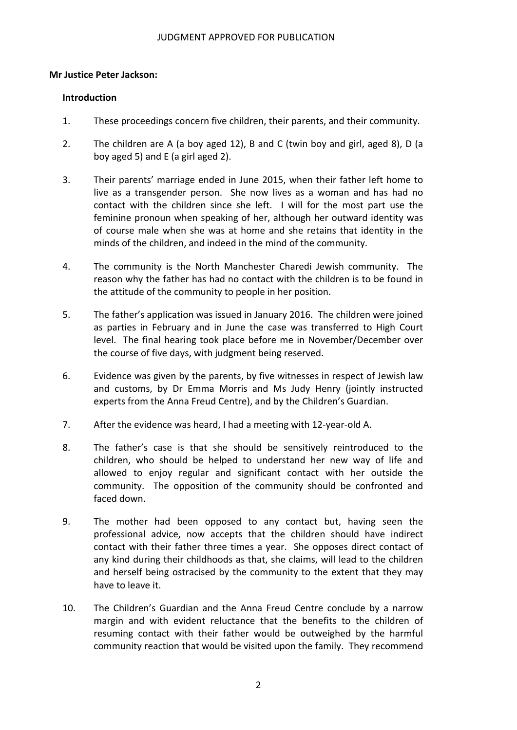## **Mr Justice Peter Jackson:**

#### **Introduction**

- 1. These proceedings concern five children, their parents, and their community.
- 2. The children are A (a boy aged 12), B and C (twin boy and girl, aged 8), D (a boy aged 5) and E (a girl aged 2).
- 3. Their parents' marriage ended in June 2015, when their father left home to live as a transgender person. She now lives as a woman and has had no contact with the children since she left. I will for the most part use the feminine pronoun when speaking of her, although her outward identity was of course male when she was at home and she retains that identity in the minds of the children, and indeed in the mind of the community.
- 4. The community is the North Manchester Charedi Jewish community. The reason why the father has had no contact with the children is to be found in the attitude of the community to people in her position.
- 5. The father's application was issued in January 2016. The children were joined as parties in February and in June the case was transferred to High Court level. The final hearing took place before me in November/December over the course of five days, with judgment being reserved.
- 6. Evidence was given by the parents, by five witnesses in respect of Jewish law and customs, by Dr Emma Morris and Ms Judy Henry (jointly instructed experts from the Anna Freud Centre), and by the Children's Guardian.
- 7. After the evidence was heard, I had a meeting with 12-year-old A.
- 8. The father's case is that she should be sensitively reintroduced to the children, who should be helped to understand her new way of life and allowed to enjoy regular and significant contact with her outside the community. The opposition of the community should be confronted and faced down.
- 9. The mother had been opposed to any contact but, having seen the professional advice, now accepts that the children should have indirect contact with their father three times a year. She opposes direct contact of any kind during their childhoods as that, she claims, will lead to the children and herself being ostracised by the community to the extent that they may have to leave it.
- 10. The Children's Guardian and the Anna Freud Centre conclude by a narrow margin and with evident reluctance that the benefits to the children of resuming contact with their father would be outweighed by the harmful community reaction that would be visited upon the family. They recommend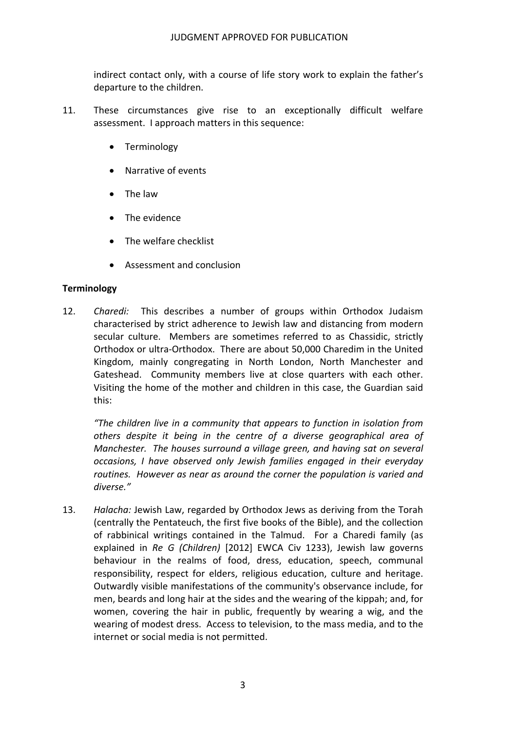indirect contact only, with a course of life story work to explain the father's departure to the children.

- 11. These circumstances give rise to an exceptionally difficult welfare assessment. I approach matters in this sequence:
	- Terminology
	- Narrative of events
	- The law
	- The evidence
	- The welfare checklist
	- Assessment and conclusion

#### **Terminology**

12. *Charedi:* This describes a number of groups within Orthodox Judaism characterised by strict adherence to Jewish law and distancing from modern secular culture. Members are sometimes referred to as Chassidic, strictly Orthodox or ultra‐Orthodox. There are about 50,000 Charedim in the United Kingdom, mainly congregating in North London, North Manchester and Gateshead. Community members live at close quarters with each other. Visiting the home of the mother and children in this case, the Guardian said this:

 *"The children live in a community that appears to function in isolation from others despite it being in the centre of a diverse geographical area of Manchester. The houses surround a village green, and having sat on several occasions, I have observed only Jewish families engaged in their everyday routines. However as near as around the corner the population is varied and diverse."*

13. Halacha: Jewish Law, regarded by Orthodox Jews as deriving from the Torah (centrally the Pentateuch, the first five books of the Bible), and the collection of rabbinical writings contained in the Talmud. For a Charedi family (as  explained in *Re G (Children)* [2012] EWCA Civ 1233), Jewish law governs behaviour in the realms of food, dress, education, speech, communal responsibility, respect for elders, religious education, culture and heritage. Outwardly visible manifestations of the community's observance include, for men, beards and long hair at the sides and the wearing of the kippah; and, for women, covering the hair in public, frequently by wearing a wig, and the wearing of modest dress. Access to television, to the mass media, and to the internet or social media is not permitted.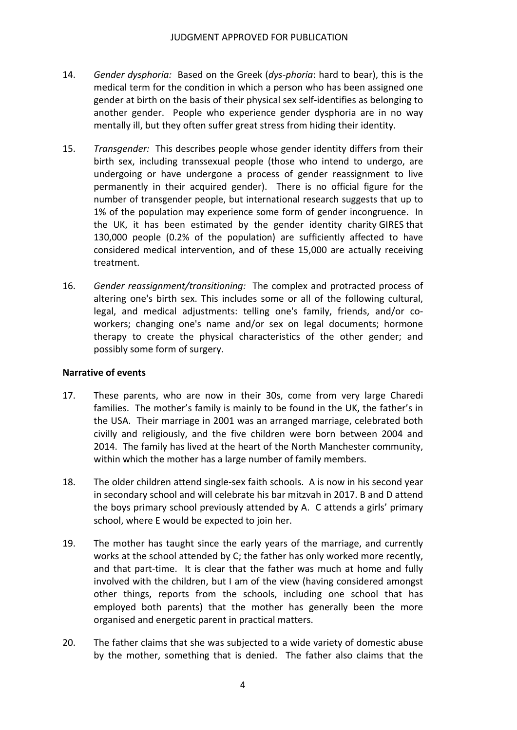- 14. Gender dysphoria: Based on the Greek (dys-phoria: hard to bear), this is the medical term for the condition in which a person who has been assigned one gender at birth on the basis of their physical sex self‐identifies as belonging to another gender. People who experience gender dysphoria are in no way mentally ill, but they often suffer great stress from hiding their identity.
- 15. Transgender: This describes people whose gender identity differs from their birth sex, including transsexual people (those who intend to undergo, are undergoing or have undergone a process of gender reassignment to live permanently in their acquired gender). There is no official figure for the number of transgender people, but international research suggests that up to 1% of the population may experience some form of gender incongruence. In the UK, it has been estimated by the gender identity charity GIRES that 130,000 people (0.2% of the population) are sufficiently affected to have considered medical intervention, and of these 15,000 are actually receiving treatment.
- 16. *Gender reassignment/transitioning:* The complex and protracted process of altering one's birth sex. This includes some or all of the following cultural, legal, and medical adjustments: telling one's family, friends, and/or co‐ workers; changing one's name and/or sex on legal documents; hormone therapy to create the physical characteristics of the other gender; and possibly some form of surgery.

#### **Narrative of events**

- 17. These parents, who are now in their 30s, come from very large Charedi families. The mother's family is mainly to be found in the UK, the father's in the USA. Their marriage in 2001 was an arranged marriage, celebrated both civilly and religiously, and the five children were born between 2004 and 2014. The family has lived at the heart of the North Manchester community, within which the mother has a large number of family members.
- 18. The older children attend single-sex faith schools. A is now in his second year in secondary school and will celebrate his bar mitzvah in 2017. B and D attend the boys primary school previously attended by A. C attends a girls' primary school, where E would be expected to join her.
- 19. The mother has taught since the early years of the marriage, and currently works at the school attended by C; the father has only worked more recently, and that part‐time. It is clear that the father was much at home and fully involved with the children, but I am of the view (having considered amongst other things, reports from the schools, including one school that has employed both parents) that the mother has generally been the more organised and energetic parent in practical matters.
- 20. The father claims that she was subjected to a wide variety of domestic abuse by the mother, something that is denied. The father also claims that the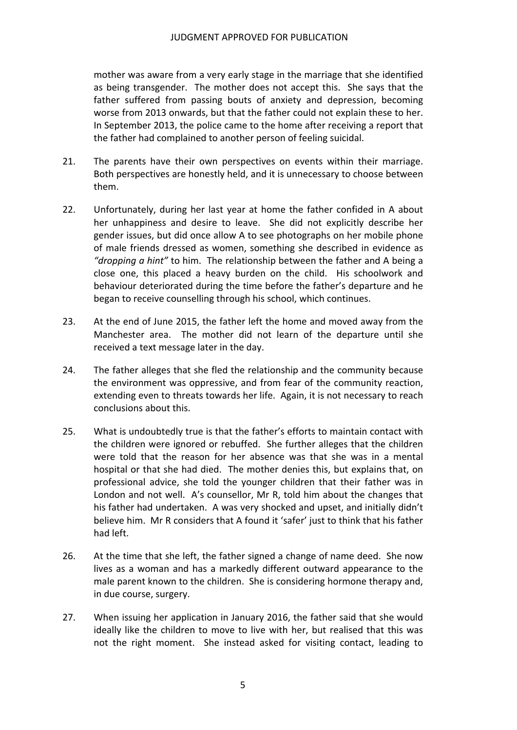mother was aware from a very early stage in the marriage that she identified as being transgender. The mother does not accept this. She says that the father suffered from passing bouts of anxiety and depression, becoming worse from 2013 onwards, but that the father could not explain these to her. In September 2013, the police came to the home after receiving a report that the father had complained to another person of feeling suicidal.

- 21. The parents have their own perspectives on events within their marriage. Both perspectives are honestly held, and it is unnecessary to choose between them.
- 22. Unfortunately, during her last year at home the father confided in A about her unhappiness and desire to leave. She did not explicitly describe her gender issues, but did once allow A to see photographs on her mobile phone of male friends dressed as women, something she described in evidence as  *"dropping a hint"* to him. The relationship between the father and A being a close one, this placed a heavy burden on the child. His schoolwork and behaviour deteriorated during the time before the father's departure and he began to receive counselling through his school, which continues.
- 23. At the end of June 2015, the father left the home and moved away from the Manchester area. The mother did not learn of the departure until she received a text message later in the day.
- 24. The father alleges that she fled the relationship and the community because the environment was oppressive, and from fear of the community reaction, extending even to threats towards her life. Again, it is not necessary to reach conclusions about this.
- 25. What is undoubtedly true is that the father's efforts to maintain contact with the children were ignored or rebuffed. She further alleges that the children were told that the reason for her absence was that she was in a mental hospital or that she had died. The mother denies this, but explains that, on professional advice, she told the younger children that their father was in London and not well. A's counsellor, Mr R, told him about the changes that his father had undertaken. A was very shocked and upset, and initially didn't believe him. Mr R considers that A found it 'safer' just to think that his father had left.
- 26. At the time that she left, the father signed a change of name deed. She now lives as a woman and has a markedly different outward appearance to the male parent known to the children. She is considering hormone therapy and, in due course, surgery.
- 27. When issuing her application in January 2016, the father said that she would ideally like the children to move to live with her, but realised that this was not the right moment. She instead asked for visiting contact, leading to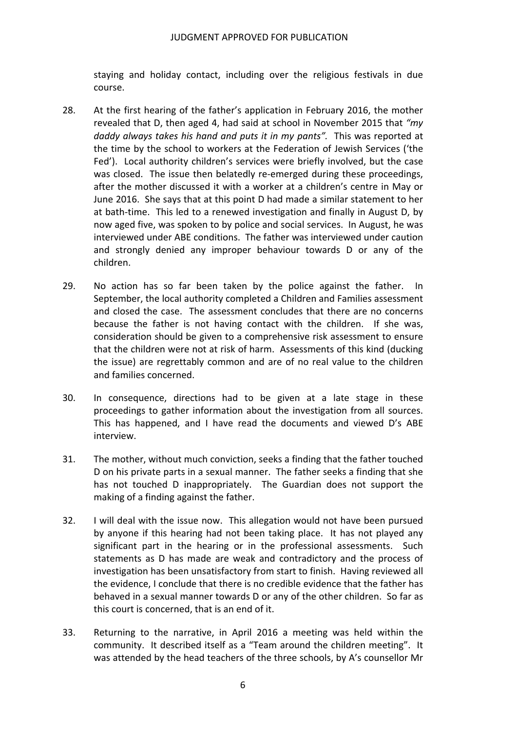staying and holiday contact, including over the religious festivals in due course.

- 28. At the first hearing of the father's application in February 2016, the mother revealed that D, then aged 4, had said at school in November 2015 that *"my daddy always takes his hand and puts it in my pants".* This was reported at the time by the school to workers at the Federation of Jewish Services ('the Fed'). Local authority children's services were briefly involved, but the case was closed. The issue then belatedly re‐emerged during these proceedings, after the mother discussed it with a worker at a children's centre in May or June 2016. She says that at this point D had made a similar statement to her at bath‐time. This led to a renewed investigation and finally in August D, by now aged five, was spoken to by police and social services. In August, he was interviewed under ABE conditions. The father was interviewed under caution and strongly denied any improper behaviour towards D or any of the children.
- 29. No action has so far been taken by the police against the father. In September, the local authority completed a Children and Families assessment and closed the case. The assessment concludes that there are no concerns because the father is not having contact with the children. If she was, consideration should be given to a comprehensive risk assessment to ensure that the children were not at risk of harm. Assessments of this kind (ducking the issue) are regrettably common and are of no real value to the children and families concerned.
- 30. In consequence, directions had to be given at a late stage in these proceedings to gather information about the investigation from all sources. This has happened, and I have read the documents and viewed D's ABE interview.
- 31. The mother, without much conviction, seeks a finding that the father touched D on his private parts in a sexual manner. The father seeks a finding that she has not touched D inappropriately. The Guardian does not support the making of a finding against the father.
- 32. I will deal with the issue now. This allegation would not have been pursued by anyone if this hearing had not been taking place. It has not played any significant part in the hearing or in the professional assessments. Such statements as D has made are weak and contradictory and the process of investigation has been unsatisfactory from start to finish. Having reviewed all the evidence, I conclude that there is no credible evidence that the father has behaved in a sexual manner towards D or any of the other children. So far as this court is concerned, that is an end of it.
- 33. Returning to the narrative, in April 2016 a meeting was held within the community. It described itself as a "Team around the children meeting". It was attended by the head teachers of the three schools, by A's counsellor Mr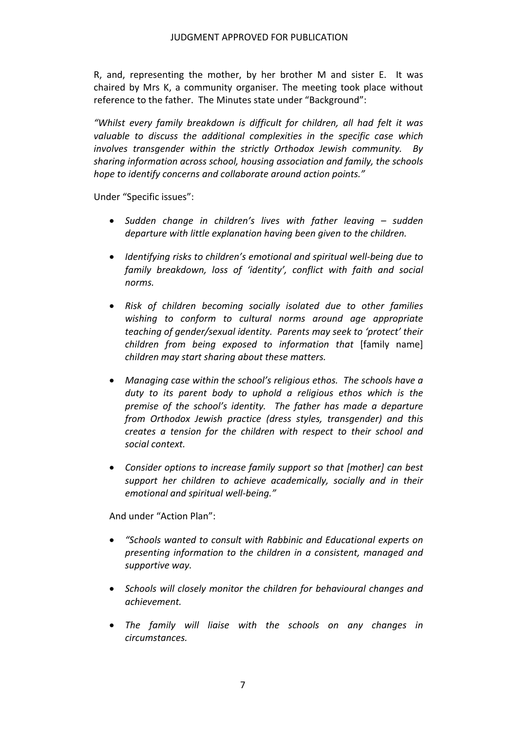R, and, representing the mother, by her brother M and sister E. It was chaired by Mrs K, a community organiser. The meeting took place without reference to the father. The Minutes state under "Background":

 *"Whilst every family breakdown is difficult for children, all had felt it was valuable to discuss the additional complexities in the specific case which involves transgender within the strictly Orthodox Jewish community. By sharing information across school, housing association and family, the schools hope to identify concerns and collaborate around action points."*

Under "Specific issues":

- *Sudden change in children's lives with father leaving – sudden departure with little explanation having been given to the children.*
- *Identifying risks to children's emotional and spiritual well‐being due to family breakdown, loss of 'identity', conflict with faith and social norms.*
- *Risk of children becoming socially isolated due to other families wishing to conform to cultural norms around age appropriate teaching of gender/sexual identity. Parents may seek to 'protect' their children from being exposed to information that* [family name]  *children may start sharing about these matters.*
- *Managing case within the school's religious ethos. The schools have a duty to its parent body to uphold a religious ethos which is the premise of the school's identity. The father has made a departure from Orthodox Jewish practice (dress styles, transgender) and this creates a tension for the children with respect to their school and social context.*
- *Consider options to increase family support so that [mother] can best support her children to achieve academically, socially and in their emotional and spiritual well‐being."*

And under "Action Plan":

- *"Schools wanted to consult with Rabbinic and Educational experts on presenting information to the children in a consistent, managed and supportive way.*
- *Schools will closely monitor the children for behavioural changes and achievement.*
- *The family will liaise with the schools on any changes in circumstances.*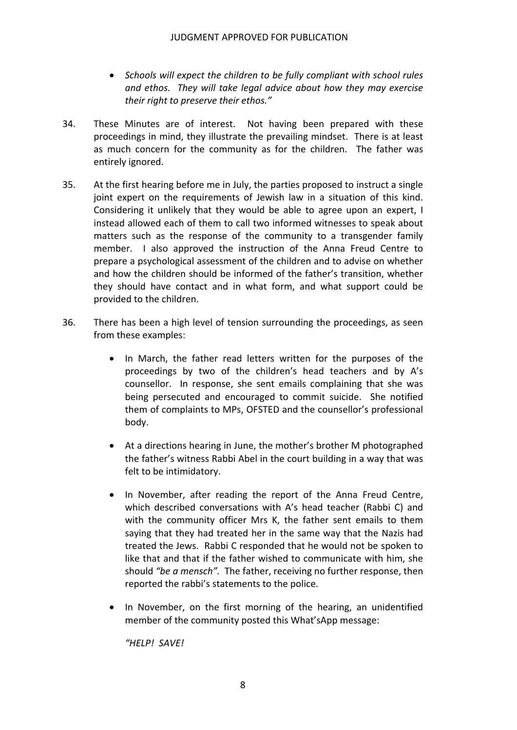- *Schools will expect the children to be fully compliant with school rules and ethos. They will take legal advice about how they may exercise their right to preserve their ethos."*
- 34. These Minutes are of interest. Not having been prepared with these proceedings in mind, they illustrate the prevailing mindset. There is at least as much concern for the community as for the children. The father was entirely ignored.
- 35. At the first hearing before me in July, the parties proposed to instruct a single joint expert on the requirements of Jewish law in a situation of this kind. Considering it unlikely that they would be able to agree upon an expert, I instead allowed each of them to call two informed witnesses to speak about matters such as the response of the community to a transgender family member. I also approved the instruction of the Anna Freud Centre to prepare a psychological assessment of the children and to advise on whether and how the children should be informed of the father's transition, whether they should have contact and in what form, and what support could be provided to the children.
- 36. There has been a high level of tension surrounding the proceedings, as seen from these examples:
	- In March, the father read letters written for the purposes of the proceedings by two of the children's head teachers and by A's counsellor. In response, she sent emails complaining that she was being persecuted and encouraged to commit suicide. She notified them of complaints to MPs, OFSTED and the counsellor's professional body.
	- At a directions hearing in June, the mother's brother M photographed the father's witness Rabbi Abel in the court building in a way that was felt to be intimidatory.
	- In November, after reading the report of the Anna Freud Centre, which described conversations with A's head teacher (Rabbi C) and with the community officer Mrs K, the father sent emails to them saying that they had treated her in the same way that the Nazis had treated the Jews. Rabbi C responded that he would not be spoken to like that and that if the father wished to communicate with him, she  should *"be a mensch".* The father, receiving no further response, then reported the rabbi's statements to the police.
	- In November, on the first morning of the hearing, an unidentified member of the community posted this What'sApp message:

 *"HELP! SAVE!*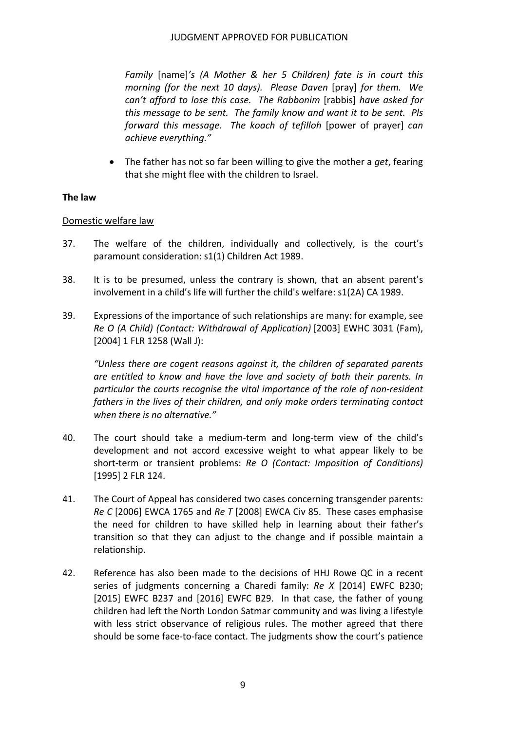*Family* [name]*'s (A Mother & her 5 Children) fate is in court this morning (for the next 10 days). Please Daven* [pray] *for them. We can't afford to lose this case. The Rabbonim* [rabbis] *have asked for* this message to be sent. The family know and want it to be sent. Pls  *forward this message. The koach of tefilloh* [power of prayer] *can achieve everything."*

 The father has not so far been willing to give the mother a *get*, fearing that she might flee with the children to Israel.

## **The law**

## Domestic welfare law

- 37. The welfare of the children, individually and collectively, is the court's paramount consideration: s1(1) Children Act 1989.
- 38. It is to be presumed, unless the contrary is shown, that an absent parent's involvement in a child's life will further the child's welfare: s1(2A) CA 1989.
- 39. Expressions of the importance of such relationships are many: for example, see  *Re O (A Child) (Contact: Withdrawal of Application)* [2003] EWHC 3031 (Fam), [2004] 1 FLR 1258 (Wall J):

 *"Unless there are cogent reasons against it, the children of separated parents are entitled to know and have the love and society of both their parents. In particular the courts recognise the vital importance of the role of non‐resident fathers in the lives of their children, and only make orders terminating contact when there is no alternative."*

- 40. The court should take a medium-term and long-term view of the child's development and not accord excessive weight to what appear likely to be  short‐term or transient problems: *Re O (Contact: Imposition of Conditions)* [1995] 2 FLR 124.
- 41. The Court of Appeal has considered two cases concerning transgender parents:  *Re C* [2006] EWCA 1765 and *Re T* [2008] EWCA Civ 85. These cases emphasise the need for children to have skilled help in learning about their father's transition so that they can adjust to the change and if possible maintain a relationship.
- 42. Reference has also been made to the decisions of HHJ Rowe QC in a recent  series of judgments concerning a Charedi family: *Re X* [2014] EWFC B230; [2015] EWFC B237 and [2016] EWFC B29. In that case, the father of young children had left the North London Satmar community and was living a lifestyle with less strict observance of religious rules. The mother agreed that there should be some face‐to‐face contact. The judgments show the court's patience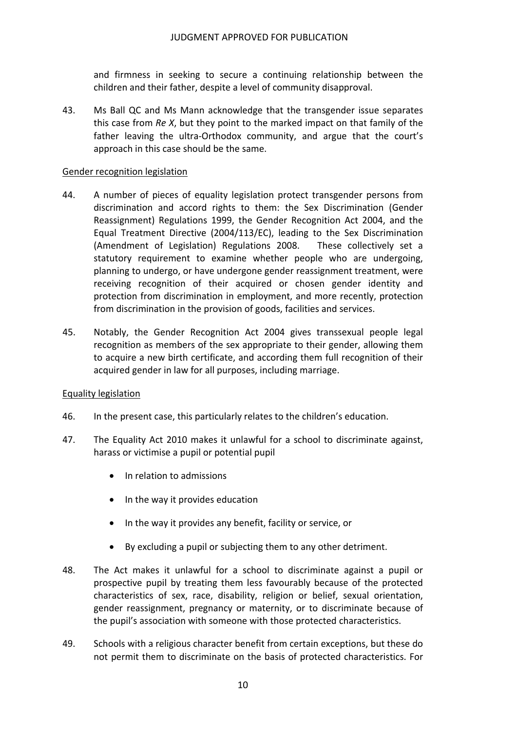and firmness in seeking to secure a continuing relationship between the children and their father, despite a level of community disapproval.

43. Ms Ball QC and Ms Mann acknowledge that the transgender issue separates this case from *Re X*, but they point to the marked impact on that family of the father leaving the ultra‐Orthodox community, and argue that the court's approach in this case should be the same.

## Gender recognition legislation

- 44. A number of pieces of equality legislation protect transgender persons from discrimination and accord rights to them: the Sex Discrimination (Gender Reassignment) Regulations 1999, the Gender Recognition Act 2004, and the Equal Treatment Directive (2004/113/EC), leading to the Sex Discrimination (Amendment of Legislation) Regulations 2008. These collectively set a statutory requirement to examine whether people who are undergoing, planning to undergo, or have undergone gender reassignment treatment, were receiving recognition of their acquired or chosen gender identity and protection from discrimination in employment, and more recently, protection from discrimination in the provision of goods, facilities and services.
- 45. Notably, the Gender Recognition Act 2004 gives transsexual people legal recognition as members of the sex appropriate to their gender, allowing them to acquire a new birth certificate, and according them full recognition of their acquired gender in law for all purposes, including marriage.

#### Equality legislation

- 46. In the present case, this particularly relates to the children's education.
- 47. The Equality Act 2010 makes it unlawful for a school to discriminate against, harass or victimise a pupil or potential pupil
	- In relation to admissions
	- In the way it provides education
	- In the way it provides any benefit, facility or service, or
	- By excluding a pupil or subjecting them to any other detriment.
- 48. The Act makes it unlawful for a school to discriminate against a pupil or prospective pupil by treating them less favourably because of the protected characteristics of sex, race, disability, religion or belief, sexual orientation, gender reassignment, pregnancy or maternity, or to discriminate because of the pupil's association with someone with those protected characteristics.
- 49. Schools with a religious character benefit from certain exceptions, but these do not permit them to discriminate on the basis of protected characteristics. For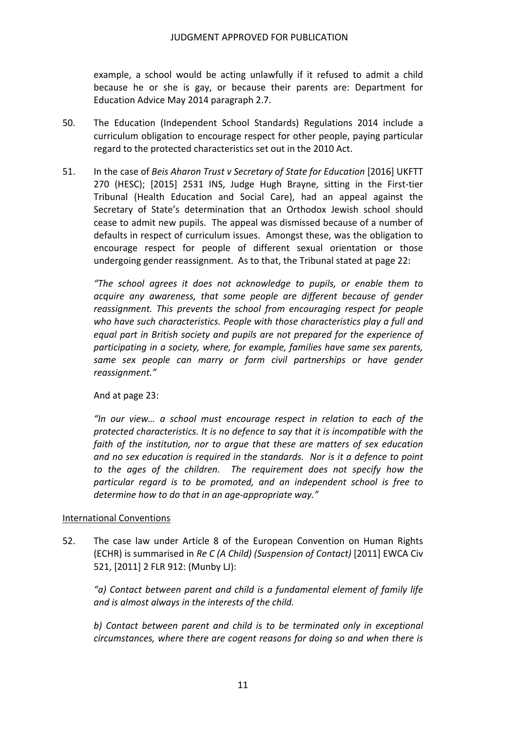example, a school would be acting unlawfully if it refused to admit a child because he or she is gay, or because their parents are: Department for Education Advice May 2014 paragraph 2.7.

- 50. The Education (Independent School Standards) Regulations 2014 include a curriculum obligation to encourage respect for other people, paying particular regard to the protected characteristics set out in the 2010 Act.
- 51. In the case of *Beis Aharon Trust v Secretary of State for Education* [2016] UKFTT 270 (HESC); [2015] 2531 INS, Judge Hugh Brayne, sitting in the First‐tier Tribunal (Health Education and Social Care), had an appeal against the Secretary of State's determination that an Orthodox Jewish school should cease to admit new pupils. The appeal was dismissed because of a number of defaults in respect of curriculum issues. Amongst these, was the obligation to encourage respect for people of different sexual orientation or those undergoing gender reassignment. As to that, the Tribunal stated at page 22:

 *"The school agrees it does not acknowledge to pupils, or enable them to acquire any awareness, that some people are different because of gender reassignment. This prevents the school from encouraging respect for people who have such characteristics. People with those characteristics play a full and equal part in British society and pupils are not prepared for the experience of participating in a society, where, for example, families have same sex parents, same sex people can marry or form civil partnerships or have gender reassignment."*

And at page 23:

 *"In our view… a school must encourage respect in relation to each of the protected characteristics. It is no defence to say that it is incompatible with the faith of the institution, nor to argue that these are matters of sex education* and no sex education is required in the standards. Nor is it a defence to point  *to the ages of the children. The requirement does not specify how the particular regard is to be promoted, and an independent school is free to determine how to do that in an age‐appropriate way."*

#### International Conventions

52. The case law under Article 8 of the European Convention on Human Rights  (ECHR) is summarised in *Re C (A Child) (Suspension of Contact)* [2011] EWCA Civ 521, [2011] 2 FLR 912: (Munby LJ):

 *"a) Contact between parent and child is a fundamental element of family life and is almost always in the interests of the child.*

 *b) Contact between parent and child is to be terminated only in exceptional circumstances, where there are cogent reasons for doing so and when there is*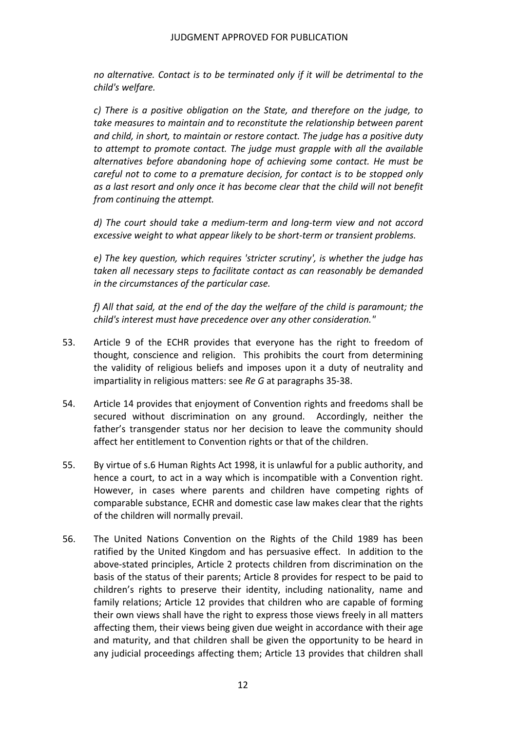*no alternative. Contact is to be terminated only if it will be detrimental to the child's welfare.*

 *c) There is a positive obligation on the State, and therefore on the judge, to take measures to maintain and to reconstitute the relationship between parent and child, in short, to maintain or restore contact. The judge has a positive duty to attempt to promote contact. The judge must grapple with all the available alternatives before abandoning hope of achieving some contact. He must be careful not to come to a premature decision, for contact is to be stopped only* as a last resort and only once it has become clear that the child will not benefit  *from continuing the attempt.*

d) The court should take a medium-term and long-term view and not accord  *excessive weight to what appear likely to be short‐term or transient problems.*

 *e) The key question, which requires 'stricter scrutiny', is whether the judge has taken all necessary steps to facilitate contact as can reasonably be demanded in the circumstances of the particular case.*

f) All that said, at the end of the day the welfare of the child is paramount; the  *child's interest must have precedence over any other consideration."*

- 53. Article 9 of the ECHR provides that everyone has the right to freedom of thought, conscience and religion. This prohibits the court from determining the validity of religious beliefs and imposes upon it a duty of neutrality and  impartiality in religious matters: see *Re G* at paragraphs 35‐38.
- 54. Article 14 provides that enjoyment of Convention rights and freedoms shall be secured without discrimination on any ground. Accordingly, neither the father's transgender status nor her decision to leave the community should affect her entitlement to Convention rights or that of the children.
- 55. By virtue of s.6 Human Rights Act 1998, it is unlawful for a public authority, and hence a court, to act in a way which is incompatible with a Convention right. However, in cases where parents and children have competing rights of comparable substance, ECHR and domestic case law makes clear that the rights of the children will normally prevail.
- 56. The United Nations Convention on the Rights of the Child 1989 has been ratified by the United Kingdom and has persuasive effect. In addition to the above‐stated principles, Article 2 protects children from discrimination on the basis of the status of their parents; Article 8 provides for respect to be paid to children's rights to preserve their identity, including nationality, name and family relations; Article 12 provides that children who are capable of forming their own views shall have the right to express those views freely in all matters affecting them, their views being given due weight in accordance with their age and maturity, and that children shall be given the opportunity to be heard in any judicial proceedings affecting them; Article 13 provides that children shall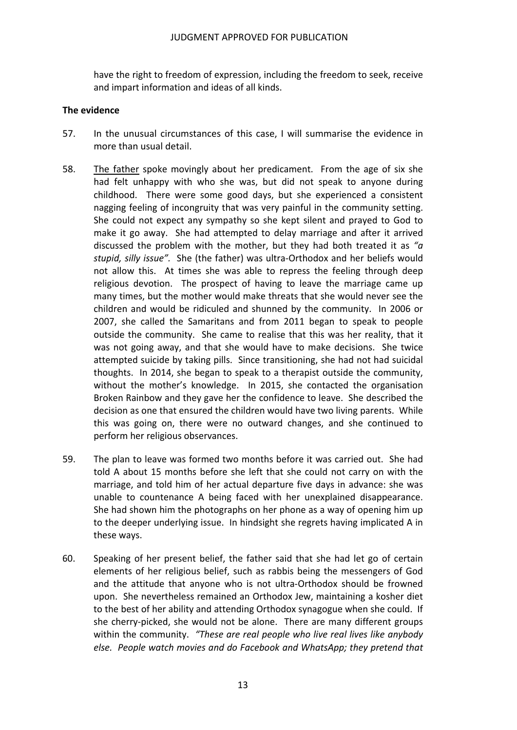have the right to freedom of expression, including the freedom to seek, receive and impart information and ideas of all kinds.

#### **The evidence**

- 57. In the unusual circumstances of this case, I will summarise the evidence in more than usual detail.
- 58. The father spoke movingly about her predicament. From the age of six she had felt unhappy with who she was, but did not speak to anyone during childhood. There were some good days, but she experienced a consistent nagging feeling of incongruity that was very painful in the community setting. She could not expect any sympathy so she kept silent and prayed to God to make it go away. She had attempted to delay marriage and after it arrived discussed the problem with the mother, but they had both treated it as *"a stupid, silly issue".* She (the father) was ultra‐Orthodox and her beliefs would not allow this. At times she was able to repress the feeling through deep religious devotion. The prospect of having to leave the marriage came up many times, but the mother would make threats that she would never see the children and would be ridiculed and shunned by the community. In 2006 or 2007, she called the Samaritans and from 2011 began to speak to people outside the community. She came to realise that this was her reality, that it was not going away, and that she would have to make decisions. She twice attempted suicide by taking pills. Since transitioning, she had not had suicidal thoughts. In 2014, she began to speak to a therapist outside the community, without the mother's knowledge. In 2015, she contacted the organisation Broken Rainbow and they gave her the confidence to leave. She described the decision as one that ensured the children would have two living parents. While this was going on, there were no outward changes, and she continued to perform her religious observances.
- 59. The plan to leave was formed two months before it was carried out. She had told A about 15 months before she left that she could not carry on with the marriage, and told him of her actual departure five days in advance: she was unable to countenance A being faced with her unexplained disappearance. She had shown him the photographs on her phone as a way of opening him up to the deeper underlying issue. In hindsight she regrets having implicated A in these ways.
- 60. Speaking of her present belief, the father said that she had let go of certain elements of her religious belief, such as rabbis being the messengers of God and the attitude that anyone who is not ultra‐Orthodox should be frowned upon. She nevertheless remained an Orthodox Jew, maintaining a kosher diet to the best of her ability and attending Orthodox synagogue when she could. If she cherry‐picked, she would not be alone. There are many different groups  within the community. *"These are real people who live real lives like anybody else. People watch movies and do Facebook and WhatsApp; they pretend that*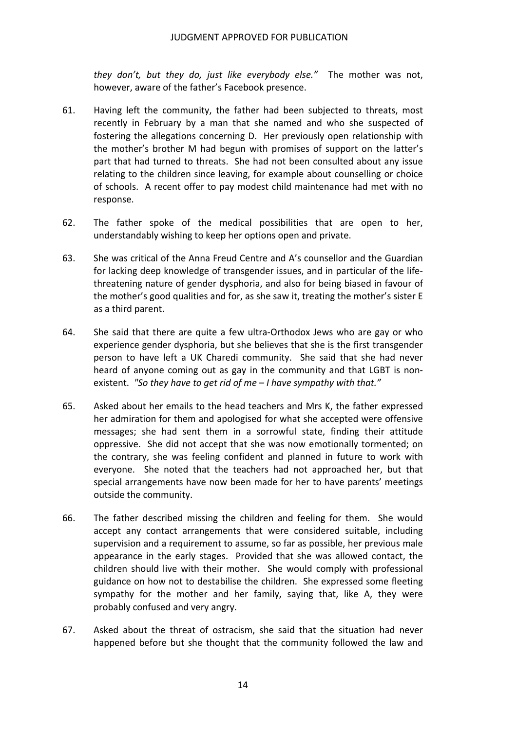*they don't, but they do, just like everybody else."* The mother was not, however, aware of the father's Facebook presence.

- 61. Having left the community, the father had been subjected to threats, most recently in February by a man that she named and who she suspected of fostering the allegations concerning D. Her previously open relationship with the mother's brother M had begun with promises of support on the latter's part that had turned to threats. She had not been consulted about any issue relating to the children since leaving, for example about counselling or choice of schools. A recent offer to pay modest child maintenance had met with no response.
- 62. The father spoke of the medical possibilities that are open to her, understandably wishing to keep her options open and private.
- 63. She was critical of the Anna Freud Centre and A's counsellor and the Guardian for lacking deep knowledge of transgender issues, and in particular of the life‐ threatening nature of gender dysphoria, and also for being biased in favour of the mother's good qualities and for, as she saw it, treating the mother's sister E as a third parent.
- 64. She said that there are quite a few ultra-Orthodox Jews who are gay or who experience gender dysphoria, but she believes that she is the first transgender person to have left a UK Charedi community. She said that she had never heard of anyone coming out as gay in the community and that LGBT is non‐  existent. *"So they have to get rid of me – I have sympathy with that."*
- 65. Asked about her emails to the head teachers and Mrs K, the father expressed her admiration for them and apologised for what she accepted were offensive messages; she had sent them in a sorrowful state, finding their attitude oppressive. She did not accept that she was now emotionally tormented; on the contrary, she was feeling confident and planned in future to work with everyone. She noted that the teachers had not approached her, but that special arrangements have now been made for her to have parents' meetings outside the community.
- 66. The father described missing the children and feeling for them. She would accept any contact arrangements that were considered suitable, including supervision and a requirement to assume, so far as possible, her previous male appearance in the early stages. Provided that she was allowed contact, the children should live with their mother. She would comply with professional guidance on how not to destabilise the children. She expressed some fleeting sympathy for the mother and her family, saying that, like A, they were probably confused and very angry.
- 67. Asked about the threat of ostracism, she said that the situation had never happened before but she thought that the community followed the law and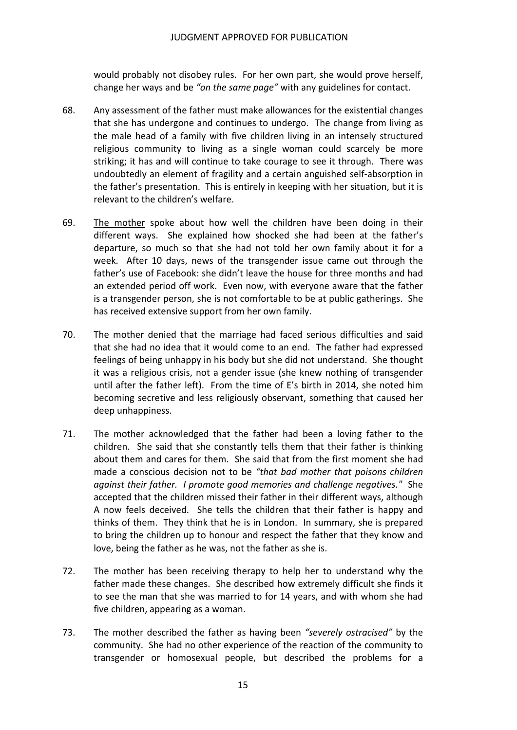would probably not disobey rules. For her own part, she would prove herself,  change her ways and be *"on the same page"* with any guidelines for contact.

- 68. Any assessment of the father must make allowances for the existential changes that she has undergone and continues to undergo. The change from living as the male head of a family with five children living in an intensely structured religious community to living as a single woman could scarcely be more striking; it has and will continue to take courage to see it through. There was undoubtedly an element of fragility and a certain anguished self‐absorption in the father's presentation. This is entirely in keeping with her situation, but it is relevant to the children's welfare.
- 69. The mother spoke about how well the children have been doing in their different ways. She explained how shocked she had been at the father's departure, so much so that she had not told her own family about it for a week. After 10 days, news of the transgender issue came out through the father's use of Facebook: she didn't leave the house for three months and had an extended period off work. Even now, with everyone aware that the father is a transgender person, she is not comfortable to be at public gatherings. She has received extensive support from her own family.
- 70. The mother denied that the marriage had faced serious difficulties and said that she had no idea that it would come to an end. The father had expressed feelings of being unhappy in his body but she did not understand. She thought it was a religious crisis, not a gender issue (she knew nothing of transgender until after the father left). From the time of E's birth in 2014, she noted him becoming secretive and less religiously observant, something that caused her deep unhappiness.
- 71. The mother acknowledged that the father had been a loving father to the children. She said that she constantly tells them that their father is thinking about them and cares for them. She said that from the first moment she had  made a conscious decision not to be *"that bad mother that poisons children against their father. I promote good memories and challenge negatives."* She accepted that the children missed their father in their different ways, although A now feels deceived. She tells the children that their father is happy and thinks of them. They think that he is in London. In summary, she is prepared to bring the children up to honour and respect the father that they know and love, being the father as he was, not the father as she is.
- 72. The mother has been receiving therapy to help her to understand why the father made these changes. She described how extremely difficult she finds it to see the man that she was married to for 14 years, and with whom she had five children, appearing as a woman.
- 73. The mother described the father as having been *"severely ostracised"* by the community. She had no other experience of the reaction of the community to transgender or homosexual people, but described the problems for a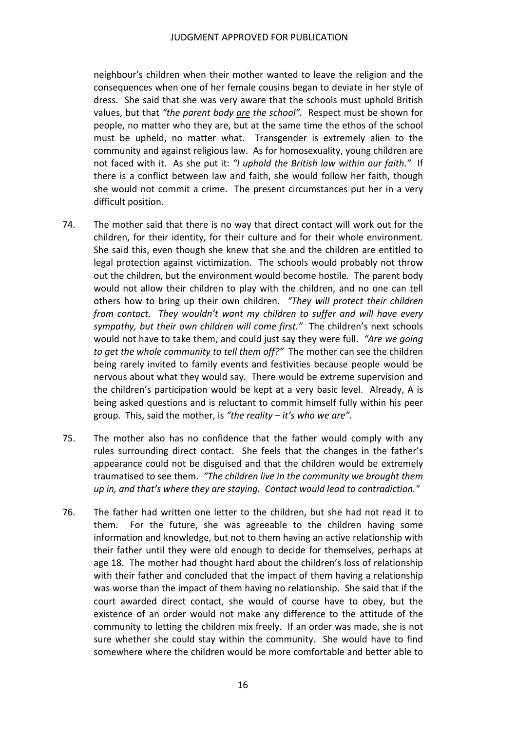neighbour's children when their mother wanted to leave the religion and the consequences when one of her female cousins began to deviate in her style of dress. She said that she was very aware that the schools must uphold British  values, but that *"the parent body are the school".* Respect must be shown for people, no matter who they are, but at the same time the ethos of the school must be upheld, no matter what. Transgender is extremely alien to the community and against religious law. As for homosexuality, young children are  not faced with it. As she put it: *"I uphold the British law within our faith."* If there is a conflict between law and faith, she would follow her faith, though she would not commit a crime. The present circumstances put her in a very difficult position.

- 74. The mother said that there is no way that direct contact will work out for the children, for their identity, for their culture and for their whole environment. She said this, even though she knew that she and the children are entitled to legal protection against victimization. The schools would probably not throw out the children, but the environment would become hostile. The parent body would not allow their children to play with the children, and no one can tell  others how to bring up their own children. *"They will protect their children from contact. They wouldn't want my children to suffer and will have every sympathy, but their own children will come first."* The children's next schools  would not have to take them, and could just say they were full. *"Are we going to get the whole community to tell them off?"* The mother can see the children being rarely invited to family events and festivities because people would be nervous about what they would say. There would be extreme supervision and the children's participation would be kept at a very basic level. Already, A is being asked questions and is reluctant to commit himself fully within his peer  group. This, said the mother, is *"the reality – it's who we are".*
- 75. The mother also has no confidence that the father would comply with any rules surrounding direct contact. She feels that the changes in the father's appearance could not be disguised and that the children would be extremely  traumatised to see them. *"The children live in the community we brought them up in, and that's where they are staying. Contact would lead to contradiction."*
- 76. The father had written one letter to the children, but she had not read it to them. For the future, she was agreeable to the children having some information and knowledge, but not to them having an active relationship with their father until they were old enough to decide for themselves, perhaps at age 18. The mother had thought hard about the children's loss of relationship with their father and concluded that the impact of them having a relationship was worse than the impact of them having no relationship. She said that if the court awarded direct contact, she would of course have to obey, but the existence of an order would not make any difference to the attitude of the community to letting the children mix freely. If an order was made, she is not sure whether she could stay within the community. She would have to find somewhere where the children would be more comfortable and better able to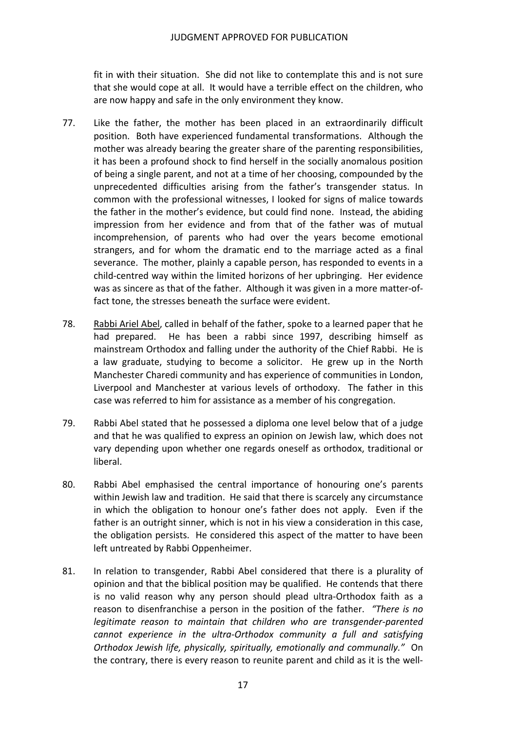fit in with their situation. She did not like to contemplate this and is not sure that she would cope at all. It would have a terrible effect on the children, who are now happy and safe in the only environment they know.

- 77. Like the father, the mother has been placed in an extraordinarily difficult position. Both have experienced fundamental transformations. Although the mother was already bearing the greater share of the parenting responsibilities, it has been a profound shock to find herself in the socially anomalous position of being a single parent, and not at a time of her choosing, compounded by the unprecedented difficulties arising from the father's transgender status. In common with the professional witnesses, I looked for signs of malice towards the father in the mother's evidence, but could find none. Instead, the abiding impression from her evidence and from that of the father was of mutual incomprehension, of parents who had over the years become emotional strangers, and for whom the dramatic end to the marriage acted as a final severance. The mother, plainly a capable person, has responded to events in a child‐centred way within the limited horizons of her upbringing. Her evidence was as sincere as that of the father. Although it was given in a more matter‐of‐ fact tone, the stresses beneath the surface were evident.
- 78. Rabbi Ariel Abel, called in behalf of the father, spoke to a learned paper that he had prepared. He has been a rabbi since 1997, describing himself as mainstream Orthodox and falling under the authority of the Chief Rabbi. He is a law graduate, studying to become a solicitor. He grew up in the North Manchester Charedi community and has experience of communities in London, Liverpool and Manchester at various levels of orthodoxy. The father in this case was referred to him for assistance as a member of his congregation.
- 79. Rabbi Abel stated that he possessed a diploma one level below that of a judge and that he was qualified to express an opinion on Jewish law, which does not vary depending upon whether one regards oneself as orthodox, traditional or liberal.
- 80. Rabbi Abel emphasised the central importance of honouring one's parents within Jewish law and tradition. He said that there is scarcely any circumstance in which the obligation to honour one's father does not apply. Even if the father is an outright sinner, which is not in his view a consideration in this case, the obligation persists. He considered this aspect of the matter to have been left untreated by Rabbi Oppenheimer.
- 81. In relation to transgender, Rabbi Abel considered that there is a plurality of opinion and that the biblical position may be qualified. He contends that there is no valid reason why any person should plead ultra‐Orthodox faith as a  reason to disenfranchise a person in the position of the father. *"There is no legitimate reason to maintain that children who are transgender‐parented cannot experience in the ultra‐Orthodox community a full and satisfying Orthodox Jewish life, physically, spiritually, emotionally and communally."* On the contrary, there is every reason to reunite parent and child as it is the well‐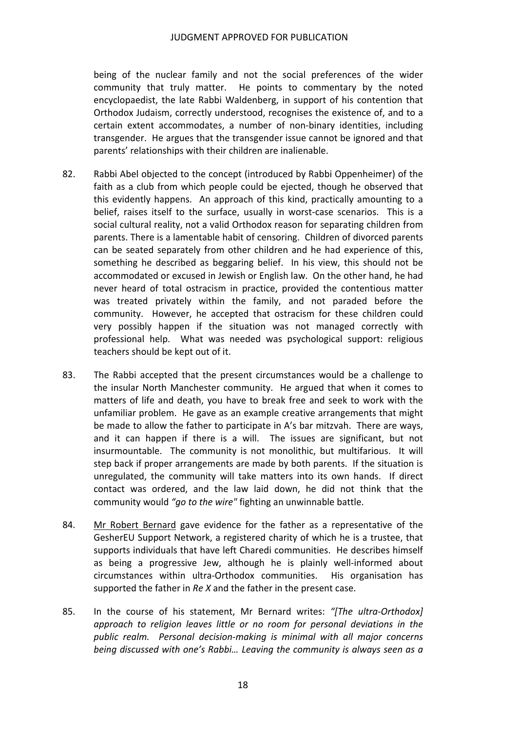being of the nuclear family and not the social preferences of the wider community that truly matter. He points to commentary by the noted encyclopaedist, the late Rabbi Waldenberg, in support of his contention that Orthodox Judaism, correctly understood, recognises the existence of, and to a certain extent accommodates, a number of non‐binary identities, including transgender. He argues that the transgender issue cannot be ignored and that parents' relationships with their children are inalienable.

- 82. Rabbi Abel objected to the concept (introduced by Rabbi Oppenheimer) of the faith as a club from which people could be ejected, though he observed that this evidently happens. An approach of this kind, practically amounting to a belief, raises itself to the surface, usually in worst‐case scenarios. This is a social cultural reality, not a valid Orthodox reason for separating children from parents. There is a lamentable habit of censoring. Children of divorced parents can be seated separately from other children and he had experience of this, something he described as beggaring belief. In his view, this should not be accommodated or excused in Jewish or English law. On the other hand, he had never heard of total ostracism in practice, provided the contentious matter was treated privately within the family, and not paraded before the community. However, he accepted that ostracism for these children could very possibly happen if the situation was not managed correctly with professional help. What was needed was psychological support: religious teachers should be kept out of it.
- 83. The Rabbi accepted that the present circumstances would be a challenge to the insular North Manchester community. He argued that when it comes to matters of life and death, you have to break free and seek to work with the unfamiliar problem. He gave as an example creative arrangements that might be made to allow the father to participate in A's bar mitzvah. There are ways, and it can happen if there is a will. The issues are significant, but not insurmountable. The community is not monolithic, but multifarious. It will step back if proper arrangements are made by both parents. If the situation is unregulated, the community will take matters into its own hands. If direct contact was ordered, and the law laid down, he did not think that the  community would *"go to the wire"* fighting an unwinnable battle.
- 84. Mr Robert Bernard gave evidence for the father as a representative of the GesherEU Support Network, a registered charity of which he is a trustee, that supports individuals that have left Charedi communities. He describes himself as being a progressive Jew, although he is plainly well‐informed about circumstances within ultra‐Orthodox communities. His organisation has supported the father in *Re X* and the father in the present case.
- 85. In the course of his statement, Mr Bernard writes: *"[The ultra‐Orthodox] approach to religion leaves little or no room for personal deviations in the public realm. Personal decision‐making is minimal with all major concerns being discussed with one's Rabbi… Leaving the community is always seen as a*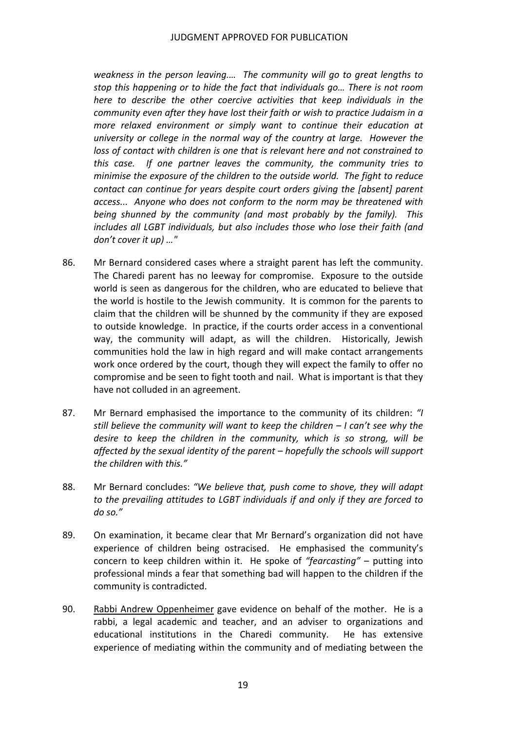*weakness in the person leaving.… The community will go to great lengths to stop this happening or to hide the fact that individuals go… There is not room here to describe the other coercive activities that keep individuals in the community even after they have lost their faith or wish to practice Judaism in a more relaxed environment or simply want to continue their education at university or college in the normal way of the country at large. However the loss of contact with children is one that is relevant here and not constrained to this case. If one partner leaves the community, the community tries to* minimise the exposure of the children to the outside world. The fight to reduce  *contact can continue for years despite court orders giving the [absent] parent access... Anyone who does not conform to the norm may be threatened with being shunned by the community (and most probably by the family). This includes all LGBT individuals, but also includes those who lose their faith (and don't cover it up) …"*

- 86. Mr Bernard considered cases where a straight parent has left the community. The Charedi parent has no leeway for compromise. Exposure to the outside world is seen as dangerous for the children, who are educated to believe that the world is hostile to the Jewish community. It is common for the parents to claim that the children will be shunned by the community if they are exposed to outside knowledge. In practice, if the courts order access in a conventional way, the community will adapt, as will the children. Historically, Jewish communities hold the law in high regard and will make contact arrangements work once ordered by the court, though they will expect the family to offer no compromise and be seen to fight tooth and nail. What is important is that they have not colluded in an agreement.
- 87. Mr Bernard emphasised the importance to the community of its children: "I still believe the community will want to keep the children – I can't see why the  *desire to keep the children in the community, which is so strong, will be affected by the sexual identity of the parent – hopefully the schools will support the children with this."*
- 88. Mr Bernard concludes: *"We believe that, push come to shove, they will adapt to the prevailing attitudes to LGBT individuals if and only if they are forced to do so."*
- 89. On examination, it became clear that Mr Bernard's organization did not have experience of children being ostracised. He emphasised the community's concern to keep children within it. He spoke of *"fearcasting"* – putting into professional minds a fear that something bad will happen to the children if the community is contradicted.
- 90. Rabbi Andrew Oppenheimer gave evidence on behalf of the mother. He is a rabbi, a legal academic and teacher, and an adviser to organizations and educational institutions in the Charedi community. He has extensive experience of mediating within the community and of mediating between the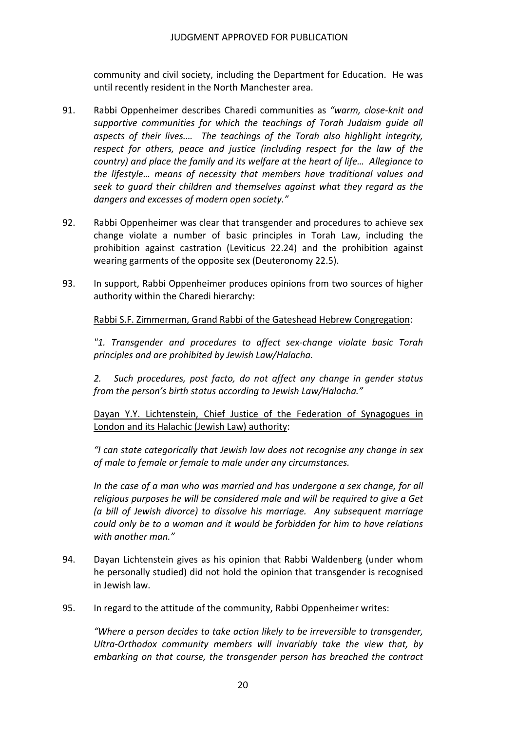community and civil society, including the Department for Education. He was until recently resident in the North Manchester area.

- 91. Rabbi Oppenheimer describes Charedi communities as *"warm, close‐knit and supportive communities for which the teachings of Torah Judaism guide all aspects of their lives.… The teachings of the Torah also highlight integrity, respect for others, peace and justice (including respect for the law of the* country) and place the family and its welfare at the heart of life... Allegiance to  *the lifestyle… means of necessity that members have traditional values and seek to guard their children and themselves against what they regard as the dangers and excesses of modern open society."*
- 92. Rabbi Oppenheimer was clear that transgender and procedures to achieve sex change violate a number of basic principles in Torah Law, including the prohibition against castration (Leviticus 22.24) and the prohibition against wearing garments of the opposite sex (Deuteronomy 22.5).
- 93. In support, Rabbi Oppenheimer produces opinions from two sources of higher authority within the Charedi hierarchy:

#### Rabbi S.F. Zimmerman, Grand Rabbi of the Gateshead Hebrew Congregation:

 *"1. Transgender and procedures to affect sex‐change violate basic Torah principles and are prohibited by Jewish Law/Halacha.*

 *2. Such procedures, post facto, do not affect any change in gender status from the person's birth status according to Jewish Law/Halacha."*

Dayan Y.Y. Lichtenstein, Chief Justice of the Federation of Synagogues in London and its Halachic (Jewish Law) authority:

 *"I can state categorically that Jewish law does not recognise any change in sex of male to female or female to male under any circumstances.*

In the case of a man who was married and has undergone a sex change, for all  *religious purposes he will be considered male and will be required to give a Get (a bill of Jewish divorce) to dissolve his marriage. Any subsequent marriage* could only be to a woman and it would be forbidden for him to have relations  *with another man."*

- 94. Dayan Lichtenstein gives as his opinion that Rabbi Waldenberg (under whom he personally studied) did not hold the opinion that transgender is recognised in Jewish law.
- 95. In regard to the attitude of the community, Rabbi Oppenheimer writes:

 *"Where a person decides to take action likely to be irreversible to transgender, Ultra‐Orthodox community members will invariably take the view that, by embarking on that course, the transgender person has breached the contract*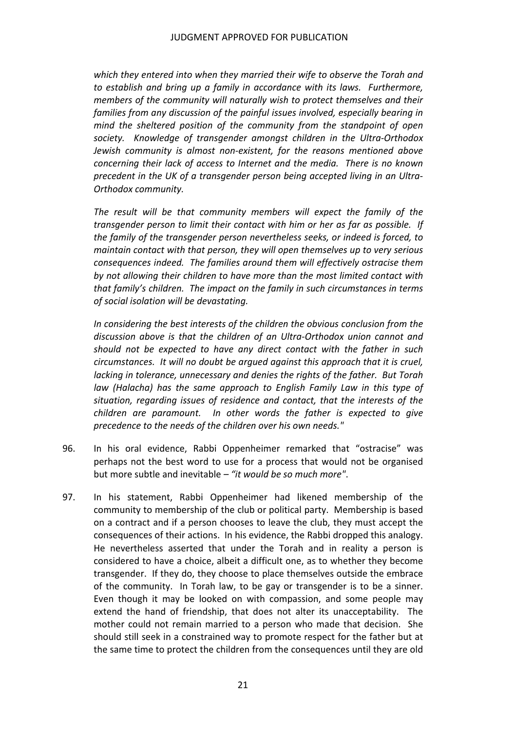*which they entered into when they married their wife to observe the Torah and to establish and bring up a family in accordance with its laws. Furthermore, members of the community will naturally wish to protect themselves and their families from any discussion of the painful issues involved, especially bearing in mind the sheltered position of the community from the standpoint of open society. Knowledge of transgender amongst children in the Ultra‐Orthodox Jewish community is almost non‐existent, for the reasons mentioned above concerning their lack of access to Internet and the media. There is no known precedent in the UK of a transgender person being accepted living in an Ultra‐ Orthodox community.*

 *The result will be that community members will expect the family of the* transgender person to limit their contact with him or her as far as possible. If  *the family of the transgender person nevertheless seeks, or indeed is forced, to maintain contact with that person, they will open themselves up to very serious consequences indeed. The families around them will effectively ostracise them by not allowing their children to have more than the most limited contact with* that family's children. The impact on the family in such circumstances in terms  *of social isolation will be devastating.*

 *In considering the best interests of the children the obvious conclusion from the discussion above is that the children of an Ultra‐Orthodox union cannot and should not be expected to have any direct contact with the father in such circumstances. It will no doubt be argued against this approach that it is cruel,* lacking in tolerance, unnecessary and denies the rights of the father. But Torah  *law (Halacha) has the same approach to English Family Law in this type of situation, regarding issues of residence and contact, that the interests of the children are paramount. In other words the father is expected to give precedence to the needs of the children over his own needs."*

- 96. In his oral evidence, Rabbi Oppenheimer remarked that "ostracise" was perhaps not the best word to use for a process that would not be organised  but more subtle and inevitable *– "it would be so much more"*.
- 97. In his statement, Rabbi Oppenheimer had likened membership of the community to membership of the club or political party. Membership is based on a contract and if a person chooses to leave the club, they must accept the consequences of their actions. In his evidence, the Rabbi dropped this analogy. He nevertheless asserted that under the Torah and in reality a person is considered to have a choice, albeit a difficult one, as to whether they become transgender. If they do, they choose to place themselves outside the embrace of the community. In Torah law, to be gay or transgender is to be a sinner. Even though it may be looked on with compassion, and some people may extend the hand of friendship, that does not alter its unacceptability. The mother could not remain married to a person who made that decision. She should still seek in a constrained way to promote respect for the father but at the same time to protect the children from the consequences until they are old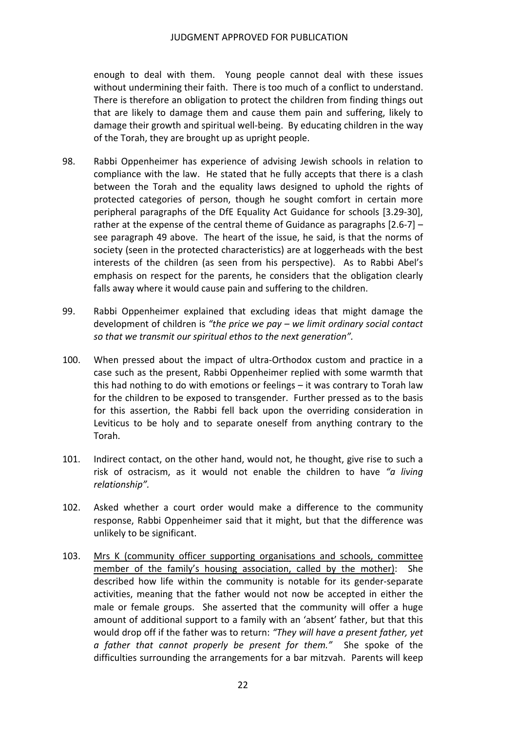enough to deal with them. Young people cannot deal with these issues without undermining their faith. There is too much of a conflict to understand. There is therefore an obligation to protect the children from finding things out that are likely to damage them and cause them pain and suffering, likely to damage their growth and spiritual well‐being. By educating children in the way of the Torah, they are brought up as upright people.

- 98. Rabbi Oppenheimer has experience of advising Jewish schools in relation to compliance with the law. He stated that he fully accepts that there is a clash between the Torah and the equality laws designed to uphold the rights of protected categories of person, though he sought comfort in certain more peripheral paragraphs of the DfE Equality Act Guidance for schools [3.29‐30], rather at the expense of the central theme of Guidance as paragraphs [2.6‐7] – see paragraph 49 above. The heart of the issue, he said, is that the norms of society (seen in the protected characteristics) are at loggerheads with the best interests of the children (as seen from his perspective). As to Rabbi Abel's emphasis on respect for the parents, he considers that the obligation clearly falls away where it would cause pain and suffering to the children.
- 99. Rabbi Oppenheimer explained that excluding ideas that might damage the  development of children is *"the price we pay – we limit ordinary social contact so that we transmit our spiritual ethos to the next generation".*
- 100. When pressed about the impact of ultra-Orthodox custom and practice in a case such as the present, Rabbi Oppenheimer replied with some warmth that this had nothing to do with emotions or feelings – it was contrary to Torah law for the children to be exposed to transgender. Further pressed as to the basis for this assertion, the Rabbi fell back upon the overriding consideration in Leviticus to be holy and to separate oneself from anything contrary to the Torah.
- 101. Indirect contact, on the other hand, would not, he thought, give rise to such a  risk of ostracism, as it would not enable the children to have *"a living relationship".*
- 102. Asked whether a court order would make a difference to the community response, Rabbi Oppenheimer said that it might, but that the difference was unlikely to be significant.
- 103. Mrs K (community officer supporting organisations and schools, committee member of the family's housing association, called by the mother): She described how life within the community is notable for its gender‐separate activities, meaning that the father would not now be accepted in either the male or female groups. She asserted that the community will offer a huge amount of additional support to a family with an 'absent' father, but that this  would drop off if the father was to return: *"They will have a present father, yet a father that cannot properly be present for them."* She spoke of the difficulties surrounding the arrangements for a bar mitzvah. Parents will keep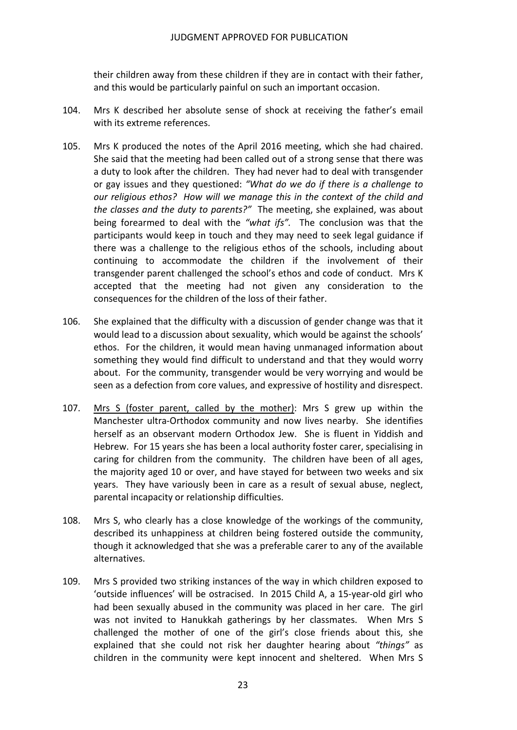their children away from these children if they are in contact with their father, and this would be particularly painful on such an important occasion.

- 104. Mrs K described her absolute sense of shock at receiving the father's email with its extreme references.
- 105. Mrs K produced the notes of the April 2016 meeting, which she had chaired. She said that the meeting had been called out of a strong sense that there was a duty to look after the children. They had never had to deal with transgender  or gay issues and they questioned: *"What do we do if there is a challenge to* our religious ethos? How will we manage this in the context of the child and  *the classes and the duty to parents?"* The meeting, she explained, was about  being forearmed to deal with the *"what ifs".* The conclusion was that the participants would keep in touch and they may need to seek legal guidance if there was a challenge to the religious ethos of the schools, including about continuing to accommodate the children if the involvement of their transgender parent challenged the school's ethos and code of conduct. Mrs K accepted that the meeting had not given any consideration to the consequences for the children of the loss of their father.
- 106. She explained that the difficulty with a discussion of gender change was that it would lead to a discussion about sexuality, which would be against the schools' ethos. For the children, it would mean having unmanaged information about something they would find difficult to understand and that they would worry about. For the community, transgender would be very worrying and would be seen as a defection from core values, and expressive of hostility and disrespect.
- 107. Mrs S (foster parent, called by the mother): Mrs S grew up within the Manchester ultra‐Orthodox community and now lives nearby. She identifies herself as an observant modern Orthodox Jew. She is fluent in Yiddish and Hebrew. For 15 years she has been a local authority foster carer, specialising in caring for children from the community. The children have been of all ages, the majority aged 10 or over, and have stayed for between two weeks and six years. They have variously been in care as a result of sexual abuse, neglect, parental incapacity or relationship difficulties.
- 108. Mrs S, who clearly has a close knowledge of the workings of the community, described its unhappiness at children being fostered outside the community, though it acknowledged that she was a preferable carer to any of the available alternatives.
- 109. Mrs S provided two striking instances of the way in which children exposed to 'outside influences' will be ostracised. In 2015 Child A, a 15‐year‐old girl who had been sexually abused in the community was placed in her care. The girl was not invited to Hanukkah gatherings by her classmates. When Mrs S challenged the mother of one of the girl's close friends about this, she explained that she could not risk her daughter hearing about *"things"* as children in the community were kept innocent and sheltered. When Mrs S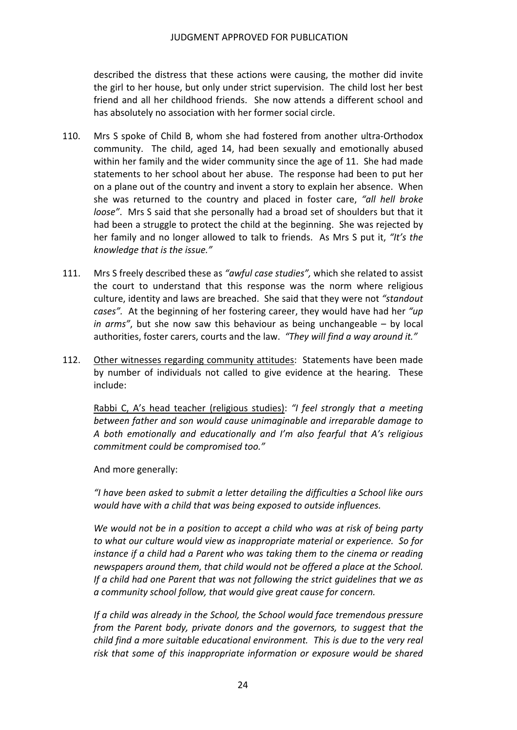described the distress that these actions were causing, the mother did invite the girl to her house, but only under strict supervision. The child lost her best friend and all her childhood friends. She now attends a different school and has absolutely no association with her former social circle.

- 110. Mrs S spoke of Child B, whom she had fostered from another ultra-Orthodox community. The child, aged 14, had been sexually and emotionally abused within her family and the wider community since the age of 11. She had made statements to her school about her abuse. The response had been to put her on a plane out of the country and invent a story to explain her absence. When  she was returned to the country and placed in foster care, *"all hell broke loose"*. Mrs S said that she personally had a broad set of shoulders but that it had been a struggle to protect the child at the beginning. She was rejected by  her family and no longer allowed to talk to friends. As Mrs S put it, *"It's the knowledge that is the issue."*
- 111. Mrs S freely described these as *"awful case studies",* which she related to assist the court to understand that this response was the norm where religious culture, identity and laws are breached. She said that they were not *"standout cases".* At the beginning of her fostering career, they would have had her *"up in arms"*, but she now saw this behaviour as being unchangeable – by local  authorities, foster carers, courts and the law. *"They will find a way around it."*
- 112. Other witnesses regarding community attitudes: Statements have been made by number of individuals not called to give evidence at the hearing. These include:

  Rabbi C, A's head teacher (religious studies): *"I feel strongly that a meeting between father and son would cause unimaginable and irreparable damage to A both emotionally and educationally and I'm also fearful that A's religious commitment could be compromised too."*

And more generally:

"I have been asked to submit a letter detailing the difficulties a School like ours  *would have with a child that was being exposed to outside influences.*

We would not be in a position to accept a child who was at risk of being party  *to what our culture would view as inappropriate material or experience. So for* instance if a child had a Parent who was taking them to the cinema or reading  *newspapers around them, that child would not be offered a place at the School.* If a child had one Parent that was not following the strict guidelines that we as  *a community school follow, that would give great cause for concern.*

 *If a child was already in the School, the School would face tremendous pressure from the Parent body, private donors and the governors, to suggest that the* child find a more suitable educational environment. This is due to the very real  *risk that some of this inappropriate information or exposure would be shared*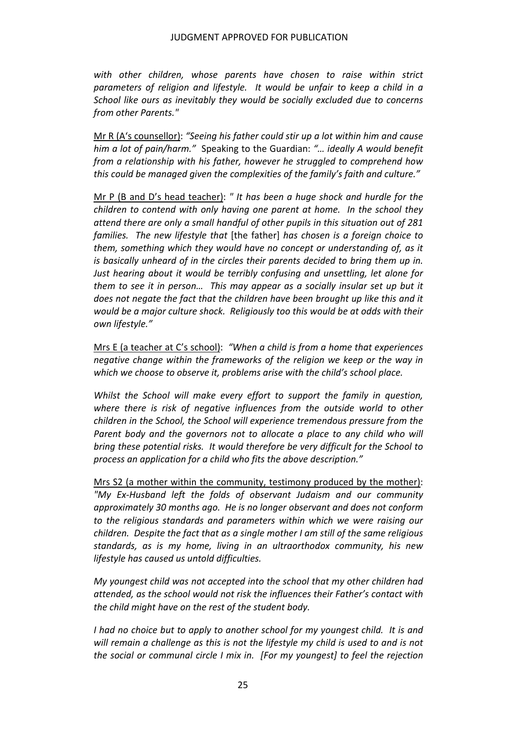*with other children, whose parents have chosen to raise within strict* parameters of religion and lifestyle. It would be unfair to keep a child in a  *School like ours as inevitably they would be socially excluded due to concerns from other Parents."*

  Mr R (A's counsellor): *"Seeing his father could stir up a lot within him and cause him a lot of pain/harm."* Speaking to the Guardian: *"… ideally A would benefit from a relationship with his father, however he struggled to comprehend how this could be managed given the complexities of the family's faith and culture."*

  Mr P (B and D's head teacher): *" It has been a huge shock and hurdle for the children to contend with only having one parent at home. In the school they* attend there are only a small handful of other pupils in this situation out of 281  *families. The new lifestyle that* [the father] *has chosen is a foreign choice to them, something which they would have no concept or understanding of, as it* is basically unheard of in the circles their parents decided to bring them up in.  *Just hearing about it would be terribly confusing and unsettling, let alone for* them to see it in person... This may appear as a socially insular set up but it does not negate the fact that the children have been brought up like this and it would be a major culture shock. Religiously too this would be at odds with their  *own lifestyle."*

  Mrs E (a teacher at C's school): *"When a child is from a home that experiences negative change within the frameworks of the religion we keep or the way in which we choose to observe it, problems arise with the child's school place.*

 *Whilst the School will make every effort to support the family in question, where there is risk of negative influences from the outside world to other children in the School, the School will experience tremendous pressure from the Parent body and the governors not to allocate a place to any child who will* bring these potential risks. It would therefore be very difficult for the School to  *process an application for a child who fits the above description."*

 Mrs S2 (a mother within the community, testimony produced by the mother):  *"My Ex‐Husband left the folds of observant Judaism and our community approximately 30 months ago. He is no longer observant and does not conform to the religious standards and parameters within which we were raising our* children. Despite the fact that as a single mother I am still of the same religious  *standards, as is my home, living in an ultraorthodox community, his new lifestyle has caused us untold difficulties.*

 *My youngest child was not accepted into the school that my other children had attended, as the school would not risk the influences their Father's contact with the child might have on the rest of the student body.*

I had no choice but to apply to another school for my youngest child. It is and will remain a challenge as this is not the lifestyle my child is used to and is not the social or communal circle I mix in. [For my youngest] to feel the rejection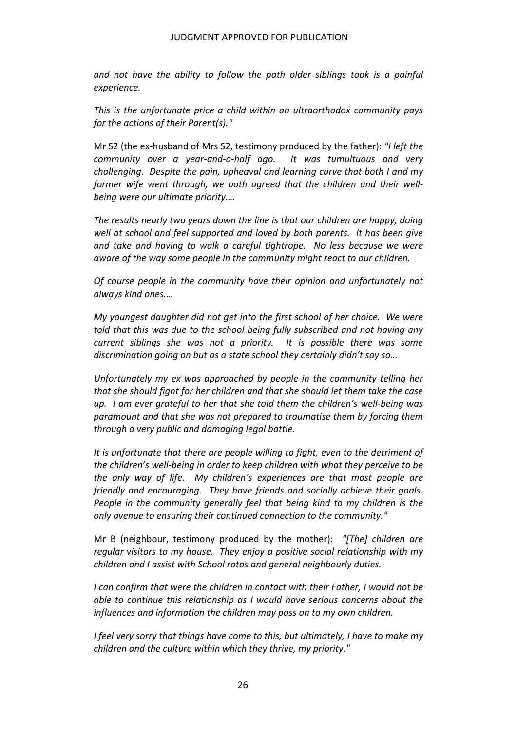*and not have the ability to follow the path older siblings took is a painful experience.*

 *This is the unfortunate price a child within an ultraorthodox community pays for the actions of their Parent(s)."*

  Mr S2 (the ex‐husband of Mrs S2, testimony produced by the father): *"I left the community over a year‐and‐a‐half ago. It was tumultuous and very challenging. Despite the pain, upheaval and learning curve that both I and my former wife went through, we both agreed that the children and their well‐ being were our ultimate priority.…*

 *The results nearly two years down the line is that our children are happy, doing* well at school and feel supported and loved by both parents. It has been give  *and take and having to walk a careful tightrope. No less because we were aware of the way some people in the community might react to our children.*

 *Of course people in the community have their opinion and unfortunately not always kind ones.…*

My youngest daughter did not get into the first school of her choice. We were  *told that this was due to the school being fully subscribed and not having any current siblings she was not a priority. It is possible there was some discrimination going on but as a state school they certainly didn't say so…*

 *Unfortunately my ex was approached by people in the community telling her* that she should fight for her children and that she should let them take the case up. I am ever grateful to her that she told them the children's well-being was  *paramount and that she was not prepared to traumatise them by forcing them through a very public and damaging legal battle.*

 *It is unfortunate that there are people willing to fight, even to the detriment of* the children's well-being in order to keep children with what they perceive to be  *the only way of life. My children's experiences are that most people are friendly and encouraging. They have friends and socially achieve their goals. People in the community generally feel that being kind to my children is the only avenue to ensuring their continued connection to the community."*

  Mr B (neighbour, testimony produced by the mother): *"[The] children are regular visitors to my house. They enjoy a positive social relationship with my children and I assist with School rotas and general neighbourly duties.*

I can confirm that were the children in contact with their Father, I would not be  *able to continue this relationship as I would have serious concerns about the influences and information the children may pass on to my own children.*

I feel very sorry that things have come to this, but ultimately, I have to make my  *children and the culture within which they thrive, my priority."*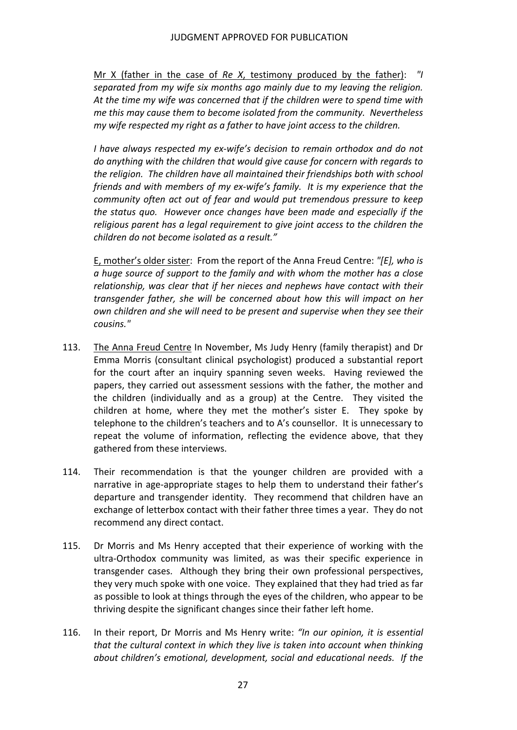Mr X (father in the case of *Re X*, testimony produced by the father): *"I separated from my wife six months ago mainly due to my leaving the religion.* At the time my wife was concerned that if the children were to spend time with  *me this may cause them to become isolated from the community. Nevertheless my wife respected my right as a father to have joint access to the children.*

 *I have always respected my ex‐wife's decision to remain orthodox and do not do anything with the children that would give cause for concern with regards to the religion. The children have all maintained their friendships both with school* friends and with members of my ex-wife's family. It is my experience that the  *community often act out of fear and would put tremendous pressure to keep the status quo. However once changes have been made and especially if the religious parent has a legal requirement to give joint access to the children the children do not become isolated as a result."*

  E, mother's older sister: From the report of the Anna Freud Centre: *"[E], who is* a huge source of support to the family and with whom the mother has a close  *relationship, was clear that if her nieces and nephews have contact with their transgender father, she will be concerned about how this will impact on her own children and she will need to be present and supervise when they see their cousins."*

- 113. The Anna Freud Centre In November, Ms Judy Henry (family therapist) and Dr Emma Morris (consultant clinical psychologist) produced a substantial report for the court after an inquiry spanning seven weeks. Having reviewed the papers, they carried out assessment sessions with the father, the mother and the children (individually and as a group) at the Centre. They visited the children at home, where they met the mother's sister E. They spoke by telephone to the children's teachers and to A's counsellor. It is unnecessary to repeat the volume of information, reflecting the evidence above, that they gathered from these interviews.
- 114. Their recommendation is that the younger children are provided with a narrative in age‐appropriate stages to help them to understand their father's departure and transgender identity. They recommend that children have an exchange of letterbox contact with their father three times a year. They do not recommend any direct contact.
- 115. Dr Morris and Ms Henry accepted that their experience of working with the ultra‐Orthodox community was limited, as was their specific experience in transgender cases. Although they bring their own professional perspectives, they very much spoke with one voice. They explained that they had tried as far as possible to look at things through the eyes of the children, who appear to be thriving despite the significant changes since their father left home.
- 116. In their report, Dr Morris and Ms Henry write: *"In our opinion, it is essential that the cultural context in which they live is taken into account when thinking about children's emotional, development, social and educational needs. If the*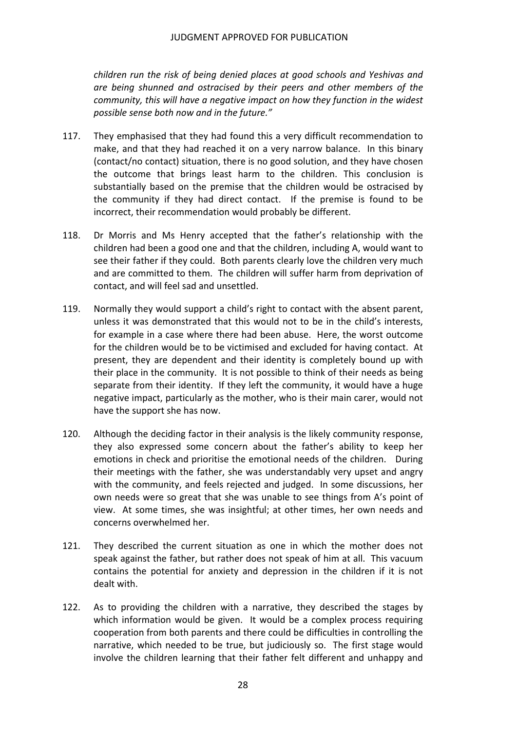*children run the risk of being denied places at good schools and Yeshivas and are being shunned and ostracised by their peers and other members of the community, this will have a negative impact on how they function in the widest possible sense both now and in the future."*

- 117. They emphasised that they had found this a very difficult recommendation to make, and that they had reached it on a very narrow balance. In this binary (contact/no contact) situation, there is no good solution, and they have chosen the outcome that brings least harm to the children. This conclusion is substantially based on the premise that the children would be ostracised by the community if they had direct contact. If the premise is found to be incorrect, their recommendation would probably be different.
- 118. Dr Morris and Ms Henry accepted that the father's relationship with the children had been a good one and that the children, including A, would want to see their father if they could. Both parents clearly love the children very much and are committed to them. The children will suffer harm from deprivation of contact, and will feel sad and unsettled.
- 119. Normally they would support a child's right to contact with the absent parent, unless it was demonstrated that this would not to be in the child's interests, for example in a case where there had been abuse. Here, the worst outcome for the children would be to be victimised and excluded for having contact. At present, they are dependent and their identity is completely bound up with their place in the community. It is not possible to think of their needs as being separate from their identity. If they left the community, it would have a huge negative impact, particularly as the mother, who is their main carer, would not have the support she has now.
- 120. Although the deciding factor in their analysis is the likely community response, they also expressed some concern about the father's ability to keep her emotions in check and prioritise the emotional needs of the children. During their meetings with the father, she was understandably very upset and angry with the community, and feels rejected and judged. In some discussions, her own needs were so great that she was unable to see things from A's point of view. At some times, she was insightful; at other times, her own needs and concerns overwhelmed her.
- 121. They described the current situation as one in which the mother does not speak against the father, but rather does not speak of him at all. This vacuum contains the potential for anxiety and depression in the children if it is not dealt with.
- 122. As to providing the children with a narrative, they described the stages by which information would be given. It would be a complex process requiring cooperation from both parents and there could be difficulties in controlling the narrative, which needed to be true, but judiciously so. The first stage would involve the children learning that their father felt different and unhappy and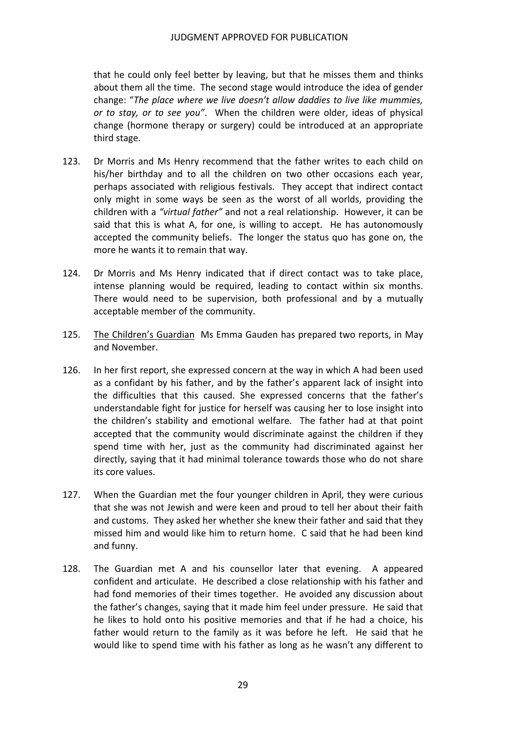that he could only feel better by leaving, but that he misses them and thinks about them all the time. The second stage would introduce the idea of gender  change: "*The place where we live doesn't allow daddies to live like mummies, or to stay, or to see you"*. When the children were older, ideas of physical change (hormone therapy or surgery) could be introduced at an appropriate third stage.

- 123. Dr Morris and Ms Henry recommend that the father writes to each child on his/her birthday and to all the children on two other occasions each year, perhaps associated with religious festivals. They accept that indirect contact only might in some ways be seen as the worst of all worlds, providing the  children with a *"virtual father"* and not a real relationship. However, it can be said that this is what A, for one, is willing to accept. He has autonomously accepted the community beliefs. The longer the status quo has gone on, the more he wants it to remain that way.
- 124. Dr Morris and Ms Henry indicated that if direct contact was to take place, intense planning would be required, leading to contact within six months. There would need to be supervision, both professional and by a mutually acceptable member of the community.
- 125. The Children's Guardian Ms Emma Gauden has prepared two reports, in May and November.
- 126. In her first report, she expressed concern at the way in which A had been used as a confidant by his father, and by the father's apparent lack of insight into the difficulties that this caused. She expressed concerns that the father's understandable fight for justice for herself was causing her to lose insight into the children's stability and emotional welfare. The father had at that point accepted that the community would discriminate against the children if they spend time with her, just as the community had discriminated against her directly, saying that it had minimal tolerance towards those who do not share its core values.
- 127. When the Guardian met the four younger children in April, they were curious that she was not Jewish and were keen and proud to tell her about their faith and customs. They asked her whether she knew their father and said that they missed him and would like him to return home. C said that he had been kind and funny.
- 128. The Guardian met A and his counsellor later that evening. A appeared confident and articulate. He described a close relationship with his father and had fond memories of their times together. He avoided any discussion about the father's changes, saying that it made him feel under pressure. He said that he likes to hold onto his positive memories and that if he had a choice, his father would return to the family as it was before he left. He said that he would like to spend time with his father as long as he wasn't any different to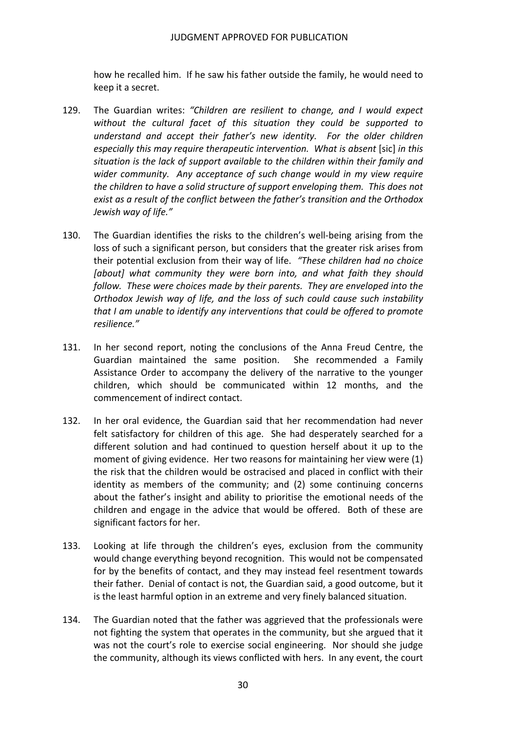how he recalled him. If he saw his father outside the family, he would need to keep it a secret.

- 129. The Guardian writes: *"Children are resilient to change, and I would expect without the cultural facet of this situation they could be supported to understand and accept their father's new identity. For the older children especially this may require therapeutic intervention. What is absent* [sic] *in this situation is the lack of support available to the children within their family and wider community. Any acceptance of such change would in my view require* the children to have a solid structure of support enveloping them. This does not  *exist as a result of the conflict between the father's transition and the Orthodox Jewish way of life."*
- 130. The Guardian identifies the risks to the children's well‐being arising from the loss of such a significant person, but considers that the greater risk arises from  their potential exclusion from their way of life. *"These children had no choice [about] what community they were born into, and what faith they should follow. These were choices made by their parents. They are enveloped into the Orthodox Jewish way of life, and the loss of such could cause such instability that I am unable to identify any interventions that could be offered to promote resilience."*
- 131. In her second report, noting the conclusions of the Anna Freud Centre, the She recommended a Family Assistance Order to accompany the delivery of the narrative to the younger children, which should be communicated within 12 months, and the commencement of indirect contact. Guardian maintained the same position.
- 132. In her oral evidence, the Guardian said that her recommendation had never felt satisfactory for children of this age. She had desperately searched for a different solution and had continued to question herself about it up to the moment of giving evidence. Her two reasons for maintaining her view were (1) the risk that the children would be ostracised and placed in conflict with their identity as members of the community; and (2) some continuing concerns about the father's insight and ability to prioritise the emotional needs of the children and engage in the advice that would be offered. Both of these are significant factors for her.
- 133. Looking at life through the children's eyes, exclusion from the community would change everything beyond recognition. This would not be compensated for by the benefits of contact, and they may instead feel resentment towards their father. Denial of contact is not, the Guardian said, a good outcome, but it is the least harmful option in an extreme and very finely balanced situation.
- 134. The Guardian noted that the father was aggrieved that the professionals were not fighting the system that operates in the community, but she argued that it was not the court's role to exercise social engineering. Nor should she judge the community, although its views conflicted with hers. In any event, the court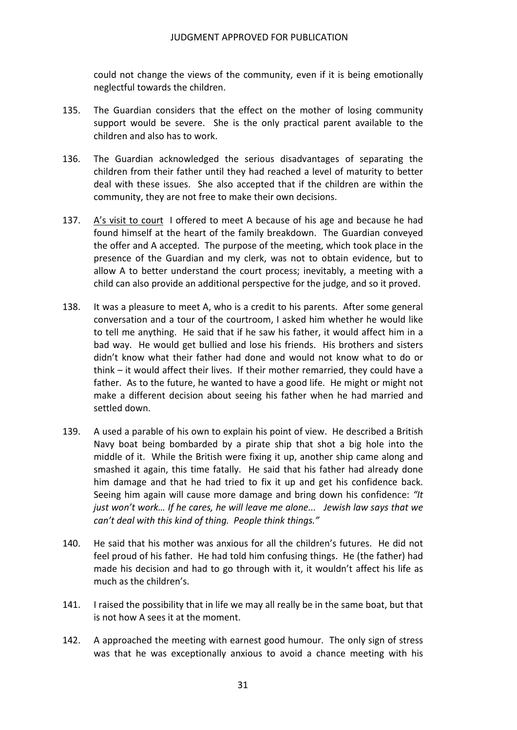could not change the views of the community, even if it is being emotionally neglectful towards the children.

- 135. The Guardian considers that the effect on the mother of losing community support would be severe. She is the only practical parent available to the children and also has to work.
- 136. The Guardian acknowledged the serious disadvantages of separating the children from their father until they had reached a level of maturity to better deal with these issues. She also accepted that if the children are within the community, they are not free to make their own decisions.
- 137.  $A'$ s visit to court I offered to meet A because of his age and because he had found himself at the heart of the family breakdown. The Guardian conveyed the offer and A accepted. The purpose of the meeting, which took place in the presence of the Guardian and my clerk, was not to obtain evidence, but to allow A to better understand the court process; inevitably, a meeting with a child can also provide an additional perspective for the judge, and so it proved.
- 138. It was a pleasure to meet A, who is a credit to his parents. After some general conversation and a tour of the courtroom, I asked him whether he would like to tell me anything. He said that if he saw his father, it would affect him in a bad way. He would get bullied and lose his friends. His brothers and sisters didn't know what their father had done and would not know what to do or think – it would affect their lives. If their mother remarried, they could have a father. As to the future, he wanted to have a good life. He might or might not make a different decision about seeing his father when he had married and settled down.
- 139. A used a parable of his own to explain his point of view. He described a British Navy boat being bombarded by a pirate ship that shot a big hole into the middle of it. While the British were fixing it up, another ship came along and smashed it again, this time fatally. He said that his father had already done him damage and that he had tried to fix it up and get his confidence back.  Seeing him again will cause more damage and bring down his confidence: *"It* just won't work... If he cares, he will leave me alone... Jewish law says that we  *can't deal with this kind of thing. People think things."*
- 140. He said that his mother was anxious for all the children's futures. He did not feel proud of his father. He had told him confusing things. He (the father) had made his decision and had to go through with it, it wouldn't affect his life as much as the children's.
- 141. I raised the possibility that in life we may all really be in the same boat, but that is not how A sees it at the moment.
- 142. A approached the meeting with earnest good humour. The only sign of stress was that he was exceptionally anxious to avoid a chance meeting with his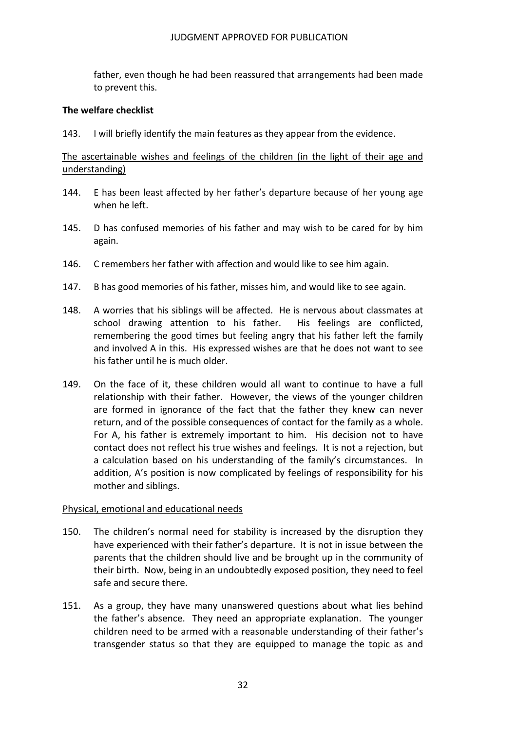father, even though he had been reassured that arrangements had been made to prevent this.

### **The welfare checklist**

143. I will briefly identify the main features as they appear from the evidence.

## The ascertainable wishes and feelings of the children (in the light of their age and understanding)

- 144. E has been least affected by her father's departure because of her young age when he left.
- 145. D has confused memories of his father and may wish to be cared for by him again.
- 146. C remembers her father with affection and would like to see him again.
- 147. B has good memories of his father, misses him, and would like to see again.
- 148. A worries that his siblings will be affected. He is nervous about classmates at school drawing attention to his father. His feelings are conflicted, remembering the good times but feeling angry that his father left the family and involved A in this. His expressed wishes are that he does not want to see his father until he is much older.
- 149. On the face of it, these children would all want to continue to have a full relationship with their father. However, the views of the younger children are formed in ignorance of the fact that the father they knew can never return, and of the possible consequences of contact for the family as a whole. For A, his father is extremely important to him. His decision not to have contact does not reflect his true wishes and feelings. It is not a rejection, but a calculation based on his understanding of the family's circumstances. In addition, A's position is now complicated by feelings of responsibility for his mother and siblings.

#### Physical, emotional and educational needs

- 150. The children's normal need for stability is increased by the disruption they have experienced with their father's departure. It is not in issue between the parents that the children should live and be brought up in the community of their birth. Now, being in an undoubtedly exposed position, they need to feel safe and secure there.
- 151. As a group, they have many unanswered questions about what lies behind the father's absence. They need an appropriate explanation. The younger children need to be armed with a reasonable understanding of their father's transgender status so that they are equipped to manage the topic as and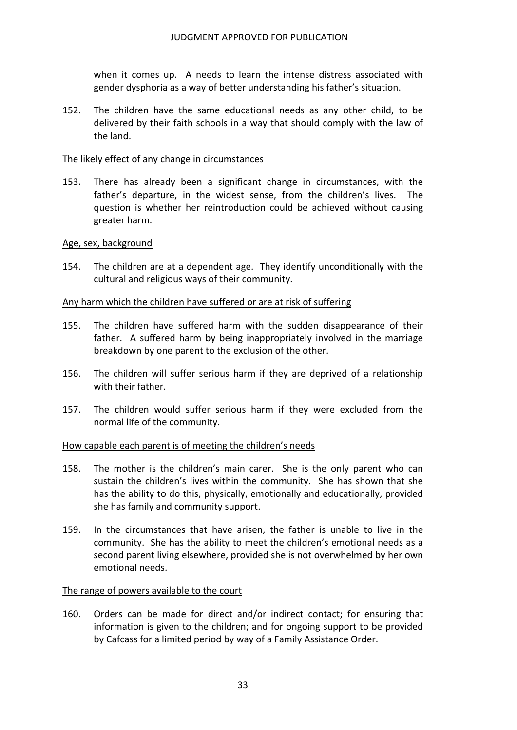when it comes up. A needs to learn the intense distress associated with gender dysphoria as a way of better understanding his father's situation.

152. The children have the same educational needs as any other child, to be delivered by their faith schools in a way that should comply with the law of the land.

#### The likely effect of any change in circumstances

153. There has already been a significant change in circumstances, with the father's departure, in the widest sense, from the children's lives. The question is whether her reintroduction could be achieved without causing greater harm.

#### Age, sex, background

154. The children are at a dependent age. They identify unconditionally with the cultural and religious ways of their community.

## Any harm which the children have suffered or are at risk of suffering

- 155. The children have suffered harm with the sudden disappearance of their father. A suffered harm by being inappropriately involved in the marriage breakdown by one parent to the exclusion of the other.
- 156. The children will suffer serious harm if they are deprived of a relationship with their father.
- 157. The children would suffer serious harm if they were excluded from the normal life of the community.

## How capable each parent is of meeting the children's needs

- 158. The mother is the children's main carer. She is the only parent who can sustain the children's lives within the community. She has shown that she has the ability to do this, physically, emotionally and educationally, provided she has family and community support.
- 159. In the circumstances that have arisen, the father is unable to live in the community. She has the ability to meet the children's emotional needs as a second parent living elsewhere, provided she is not overwhelmed by her own emotional needs.

#### The range of powers available to the court

160. Orders can be made for direct and/or indirect contact; for ensuring that information is given to the children; and for ongoing support to be provided by Cafcass for a limited period by way of a Family Assistance Order.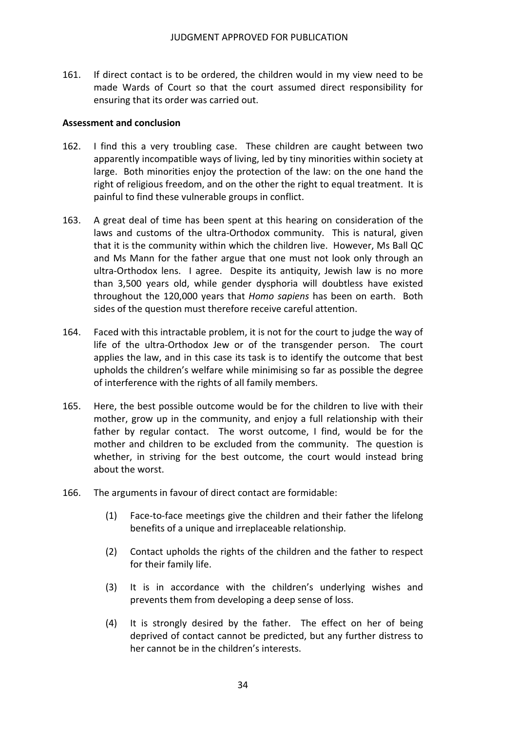161. If direct contact is to be ordered, the children would in my view need to be made Wards of Court so that the court assumed direct responsibility for ensuring that its order was carried out.

#### **Assessment and conclusion**

- 162. I find this a very troubling case. These children are caught between two apparently incompatible ways of living, led by tiny minorities within society at large. Both minorities enjoy the protection of the law: on the one hand the right of religious freedom, and on the other the right to equal treatment. It is painful to find these vulnerable groups in conflict.
- 163. A great deal of time has been spent at this hearing on consideration of the laws and customs of the ultra‐Orthodox community. This is natural, given that it is the community within which the children live. However, Ms Ball QC and Ms Mann for the father argue that one must not look only through an ultra‐Orthodox lens. I agree. Despite its antiquity, Jewish law is no more than 3,500 years old, while gender dysphoria will doubtless have existed throughout the 120,000 years that *Homo sapiens* has been on earth. Both sides of the question must therefore receive careful attention.
- 164. Faced with this intractable problem, it is not for the court to judge the way of life of the ultra‐Orthodox Jew or of the transgender person. The court applies the law, and in this case its task is to identify the outcome that best upholds the children's welfare while minimising so far as possible the degree of interference with the rights of all family members.
- 165. Here, the best possible outcome would be for the children to live with their mother, grow up in the community, and enjoy a full relationship with their father by regular contact. The worst outcome, I find, would be for the mother and children to be excluded from the community. The question is whether, in striving for the best outcome, the court would instead bring about the worst.
- 166. The arguments in favour of direct contact are formidable:
	- (1) Face-to-face meetings give the children and their father the lifelong benefits of a unique and irreplaceable relationship.
	- (2) Contact upholds the rights of the children and the father to respect for their family life.
	- (3) It is in accordance with the children's underlying wishes and prevents them from developing a deep sense of loss.
	- (4) It is strongly desired by the father. The effect on her of being deprived of contact cannot be predicted, but any further distress to her cannot be in the children's interests.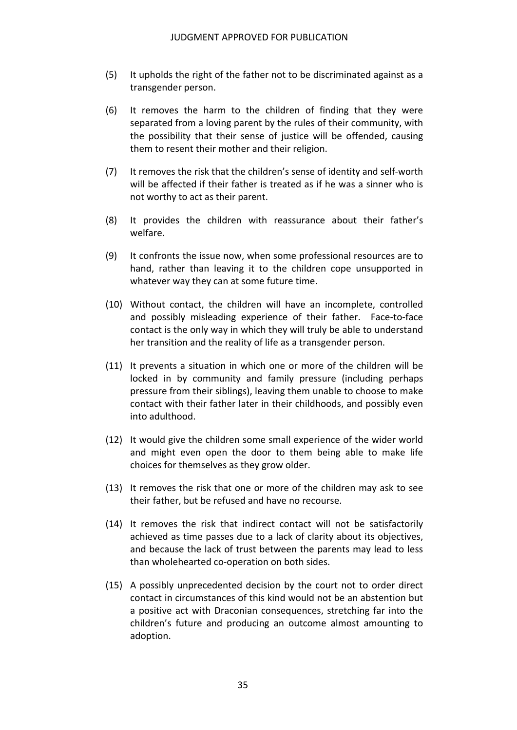- (5) It upholds the right of the father not to be discriminated against as a transgender person.
- (6) It removes the harm to the children of finding that they were separated from a loving parent by the rules of their community, with the possibility that their sense of justice will be offended, causing them to resent their mother and their religion.
- (7) It removes the risk that the children's sense of identity and self-worth will be affected if their father is treated as if he was a sinner who is not worthy to act as their parent.
- (8) It provides the children with reassurance about their father's welfare.
- (9) It confronts the issue now, when some professional resources are to hand, rather than leaving it to the children cope unsupported in whatever way they can at some future time.
- (10) Without contact, the children will have an incomplete, controlled and possibly misleading experience of their father. Face‐to‐face contact is the only way in which they will truly be able to understand her transition and the reality of life as a transgender person.
- (11) It prevents a situation in which one or more of the children will be locked in by community and family pressure (including perhaps pressure from their siblings), leaving them unable to choose to make contact with their father later in their childhoods, and possibly even into adulthood.
- (12) It would give the children some small experience of the wider world and might even open the door to them being able to make life choices for themselves as they grow older.
- (13) It removes the risk that one or more of the children may ask to see their father, but be refused and have no recourse.
- (14) It removes the risk that indirect contact will not be satisfactorily achieved as time passes due to a lack of clarity about its objectives, and because the lack of trust between the parents may lead to less than wholehearted co‐operation on both sides.
- (15) A possibly unprecedented decision by the court not to order direct contact in circumstances of this kind would not be an abstention but a positive act with Draconian consequences, stretching far into the children's future and producing an outcome almost amounting to adoption.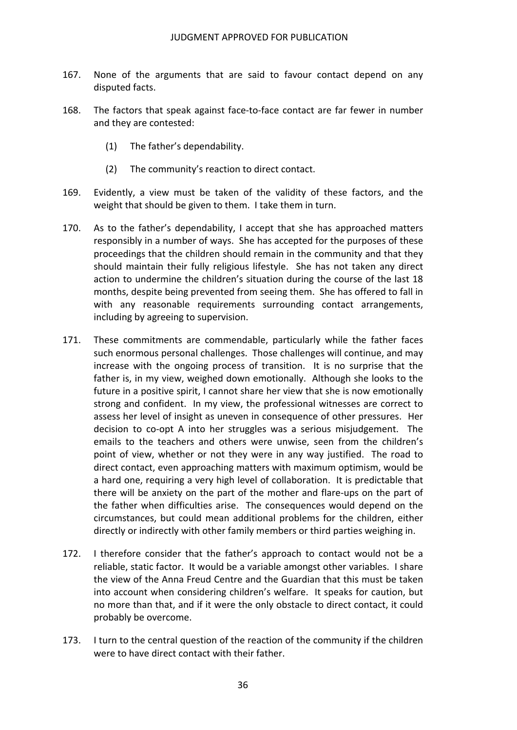- 167. None of the arguments that are said to favour contact depend on any disputed facts.
- 168. The factors that speak against face‐to‐face contact are far fewer in number and they are contested:
	- (1) The father's dependability.
	- (2) The community's reaction to direct contact.
- 169. Evidently, a view must be taken of the validity of these factors, and the weight that should be given to them. I take them in turn.
- 170. As to the father's dependability, I accept that she has approached matters responsibly in a number of ways. She has accepted for the purposes of these proceedings that the children should remain in the community and that they should maintain their fully religious lifestyle. She has not taken any direct action to undermine the children's situation during the course of the last 18 months, despite being prevented from seeing them. She has offered to fall in with any reasonable requirements surrounding contact arrangements, including by agreeing to supervision.
- 171. These commitments are commendable, particularly while the father faces such enormous personal challenges. Those challenges will continue, and may increase with the ongoing process of transition. It is no surprise that the father is, in my view, weighed down emotionally. Although she looks to the future in a positive spirit, I cannot share her view that she is now emotionally strong and confident. In my view, the professional witnesses are correct to assess her level of insight as uneven in consequence of other pressures. Her decision to co‐opt A into her struggles was a serious misjudgement. The emails to the teachers and others were unwise, seen from the children's point of view, whether or not they were in any way justified. The road to direct contact, even approaching matters with maximum optimism, would be a hard one, requiring a very high level of collaboration. It is predictable that there will be anxiety on the part of the mother and flare‐ups on the part of the father when difficulties arise. The consequences would depend on the circumstances, but could mean additional problems for the children, either directly or indirectly with other family members or third parties weighing in.
- 172. I therefore consider that the father's approach to contact would not be a reliable, static factor. It would be a variable amongst other variables. I share the view of the Anna Freud Centre and the Guardian that this must be taken into account when considering children's welfare. It speaks for caution, but no more than that, and if it were the only obstacle to direct contact, it could probably be overcome.
- 173. I turn to the central question of the reaction of the community if the children were to have direct contact with their father.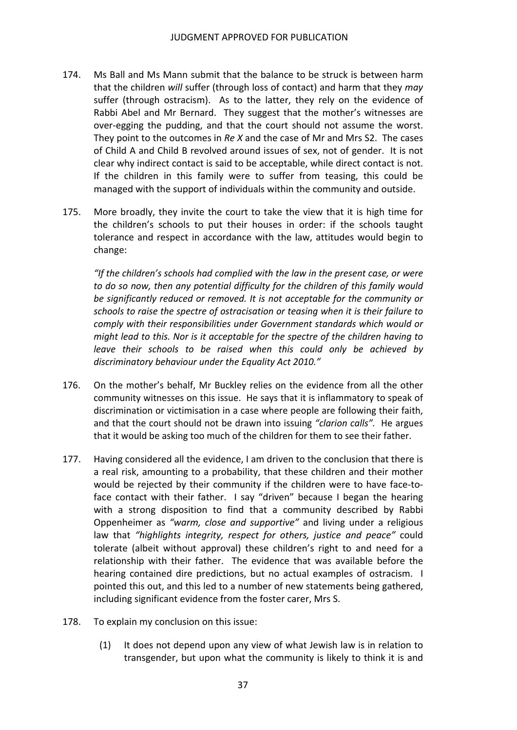- 174. Ms Ball and Ms Mann submit that the balance to be struck is between harm that the children *will* suffer (through loss of contact) and harm that they *may* suffer (through ostracism). As to the latter, they rely on the evidence of Rabbi Abel and Mr Bernard. They suggest that the mother's witnesses are over‐egging the pudding, and that the court should not assume the worst.  They point to the outcomes in *Re X* and the case of Mr and Mrs S2. The cases of Child A and Child B revolved around issues of sex, not of gender. It is not clear why indirect contact is said to be acceptable, while direct contact is not. If the children in this family were to suffer from teasing, this could be managed with the support of individuals within the community and outside.
- 175. More broadly, they invite the court to take the view that it is high time for the children's schools to put their houses in order: if the schools taught tolerance and respect in accordance with the law, attitudes would begin to change:

 *"If the children's schools had complied with the law in the present case, or were to do so now, then any potential difficulty for the children of this family would be significantly reduced or removed. It is not acceptable for the community or* schools to raise the spectre of ostracisation or teasing when it is their failure to  *comply with their responsibilities under Government standards which would or* might lead to this. Nor is it acceptable for the spectre of the children having to  *leave their schools to be raised when this could only be achieved by discriminatory behaviour under the Equality Act 2010."*

- 176. On the mother's behalf, Mr Buckley relies on the evidence from all the other community witnesses on this issue. He says that it is inflammatory to speak of discrimination or victimisation in a case where people are following their faith, and that the court should not be drawn into issuing *"clarion calls".* He argues that it would be asking too much of the children for them to see their father.
- 177. Having considered all the evidence, I am driven to the conclusion that there is a real risk, amounting to a probability, that these children and their mother would be rejected by their community if the children were to have face‐to‐ face contact with their father. I say "driven" because I began the hearing with a strong disposition to find that a community described by Rabbi  Oppenheimer as *"warm, close and supportive"* and living under a religious  law that *"highlights integrity, respect for others, justice and peace"* could tolerate (albeit without approval) these children's right to and need for a relationship with their father. The evidence that was available before the hearing contained dire predictions, but no actual examples of ostracism. I pointed this out, and this led to a number of new statements being gathered, including significant evidence from the foster carer, Mrs S.
- 178. To explain my conclusion on this issue:
	- (1) It does not depend upon any view of what Jewish law is in relation to transgender, but upon what the community is likely to think it is and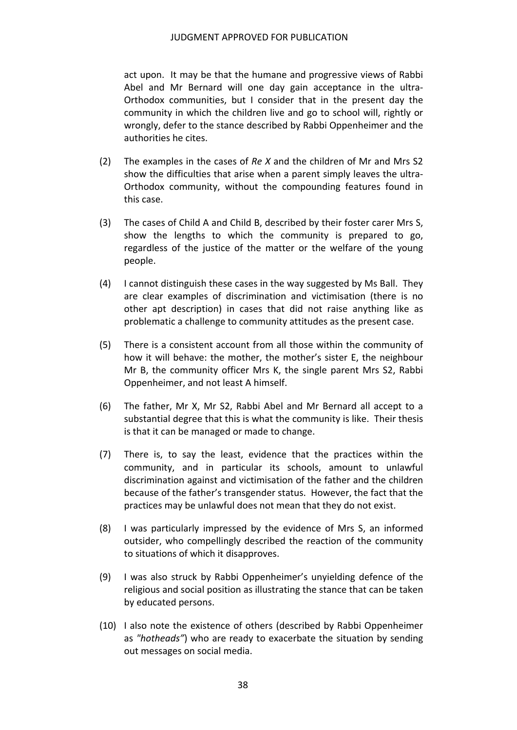act upon. It may be that the humane and progressive views of Rabbi Abel and Mr Bernard will one day gain acceptance in the ultra‐ Orthodox communities, but I consider that in the present day the community in which the children live and go to school will, rightly or wrongly, defer to the stance described by Rabbi Oppenheimer and the authorities he cites.

- (2) The examples in the cases of *Re X* and the children of Mr and Mrs S2 show the difficulties that arise when a parent simply leaves the ultra‐ Orthodox community, without the compounding features found in this case.
- (3) The cases of Child A and Child B, described by their foster carer Mrs S, show the lengths to which the community is prepared to go, regardless of the justice of the matter or the welfare of the young people.
- (4) I cannot distinguish these cases in the way suggested by Ms Ball. They are clear examples of discrimination and victimisation (there is no other apt description) in cases that did not raise anything like as problematic a challenge to community attitudes as the present case.
- (5) There is a consistent account from all those within the community of how it will behave: the mother, the mother's sister E, the neighbour Mr B, the community officer Mrs K, the single parent Mrs S2, Rabbi Oppenheimer, and not least A himself.
- (6) The father, Mr X, Mr S2, Rabbi Abel and Mr Bernard all accept to a substantial degree that this is what the community is like. Their thesis is that it can be managed or made to change.
- (7) There is, to say the least, evidence that the practices within the community, and in particular its schools, amount to unlawful discrimination against and victimisation of the father and the children because of the father's transgender status. However, the fact that the practices may be unlawful does not mean that they do not exist.
- (8) I was particularly impressed by the evidence of Mrs S, an informed outsider, who compellingly described the reaction of the community to situations of which it disapproves.
- (9) I was also struck by Rabbi Oppenheimer's unyielding defence of the religious and social position as illustrating the stance that can be taken by educated persons.
- (10) I also note the existence of others (described by Rabbi Oppenheimer as *"hotheads"*) who are ready to exacerbate the situation by sending out messages on social media.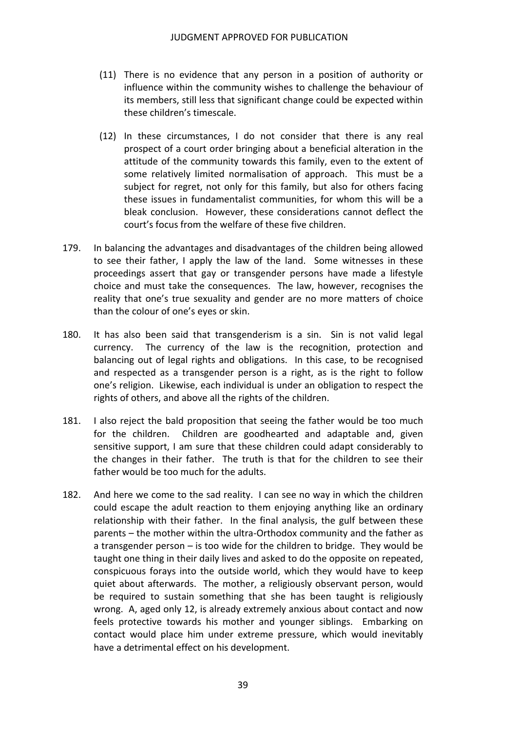- (11) There is no evidence that any person in a position of authority or influence within the community wishes to challenge the behaviour of its members, still less that significant change could be expected within these children's timescale.
- (12) In these circumstances, I do not consider that there is any real prospect of a court order bringing about a beneficial alteration in the attitude of the community towards this family, even to the extent of some relatively limited normalisation of approach. This must be a subject for regret, not only for this family, but also for others facing these issues in fundamentalist communities, for whom this will be a bleak conclusion. However, these considerations cannot deflect the court's focus from the welfare of these five children.
- 179. In balancing the advantages and disadvantages of the children being allowed to see their father, I apply the law of the land. Some witnesses in these proceedings assert that gay or transgender persons have made a lifestyle choice and must take the consequences. The law, however, recognises the reality that one's true sexuality and gender are no more matters of choice than the colour of one's eyes or skin.
- 180. It has also been said that transgenderism is a sin. Sin is not valid legal currency. The currency of the law is the recognition, protection and balancing out of legal rights and obligations. In this case, to be recognised and respected as a transgender person is a right, as is the right to follow one's religion. Likewise, each individual is under an obligation to respect the rights of others, and above all the rights of the children.
- 181. I also reject the bald proposition that seeing the father would be too much for the children. Children are goodhearted and adaptable and, given sensitive support, I am sure that these children could adapt considerably to the changes in their father. The truth is that for the children to see their father would be too much for the adults.
- 182. And here we come to the sad reality. I can see no way in which the children could escape the adult reaction to them enjoying anything like an ordinary relationship with their father. In the final analysis, the gulf between these parents – the mother within the ultra‐Orthodox community and the father as a transgender person – is too wide for the children to bridge. They would be taught one thing in their daily lives and asked to do the opposite on repeated, conspicuous forays into the outside world, which they would have to keep quiet about afterwards. The mother, a religiously observant person, would be required to sustain something that she has been taught is religiously wrong. A, aged only 12, is already extremely anxious about contact and now feels protective towards his mother and younger siblings. Embarking on contact would place him under extreme pressure, which would inevitably have a detrimental effect on his development.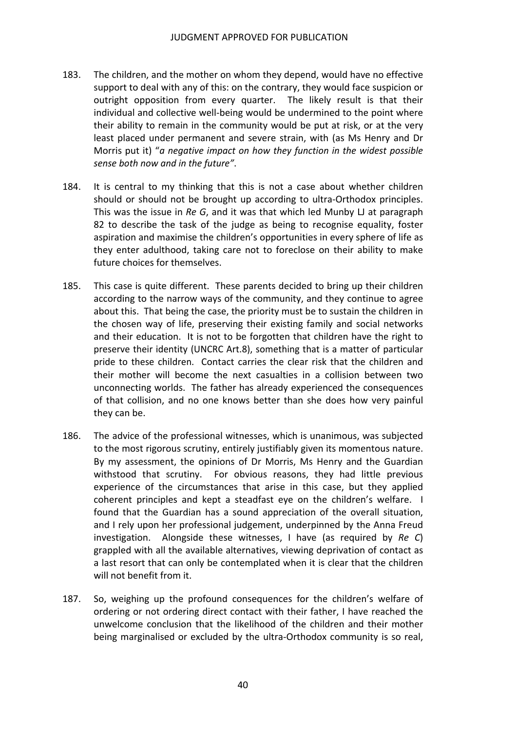- 183. The children, and the mother on whom they depend, would have no effective support to deal with any of this: on the contrary, they would face suspicion or outright opposition from every quarter. The likely result is that their individual and collective well‐being would be undermined to the point where their ability to remain in the community would be put at risk, or at the very least placed under permanent and severe strain, with (as Ms Henry and Dr  Morris put it) "*a negative impact on how they function in the widest possible sense both now and in the future"*.
- 184. It is central to my thinking that this is not a case about whether children should or should not be brought up according to ultra‐Orthodox principles. This was the issue in *Re G*, and it was that which led Munby LJ at paragraph 82 to describe the task of the judge as being to recognise equality, foster aspiration and maximise the children's opportunities in every sphere of life as they enter adulthood, taking care not to foreclose on their ability to make future choices for themselves.
- 185. This case is quite different. These parents decided to bring up their children according to the narrow ways of the community, and they continue to agree about this. That being the case, the priority must be to sustain the children in the chosen way of life, preserving their existing family and social networks and their education. It is not to be forgotten that children have the right to preserve their identity (UNCRC Art.8), something that is a matter of particular pride to these children. Contact carries the clear risk that the children and their mother will become the next casualties in a collision between two unconnecting worlds. The father has already experienced the consequences of that collision, and no one knows better than she does how very painful they can be.
- 186. The advice of the professional witnesses, which is unanimous, was subjected to the most rigorous scrutiny, entirely justifiably given its momentous nature. By my assessment, the opinions of Dr Morris, Ms Henry and the Guardian withstood that scrutiny. For obvious reasons, they had little previous experience of the circumstances that arise in this case, but they applied coherent principles and kept a steadfast eye on the children's welfare. I found that the Guardian has a sound appreciation of the overall situation, and I rely upon her professional judgement, underpinned by the Anna Freud investigation. Alongside these witnesses, I have (as required by *Re C*) grappled with all the available alternatives, viewing deprivation of contact as a last resort that can only be contemplated when it is clear that the children will not benefit from it.
- 187. So, weighing up the profound consequences for the children's welfare of ordering or not ordering direct contact with their father, I have reached the unwelcome conclusion that the likelihood of the children and their mother being marginalised or excluded by the ultra‐Orthodox community is so real,